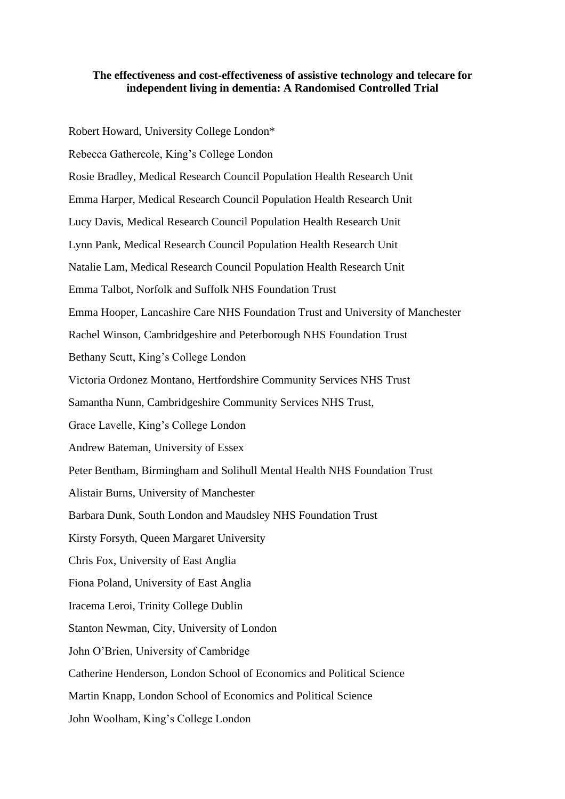#### **The effectiveness and cost-effectiveness of assistive technology and telecare for independent living in dementia: A Randomised Controlled Trial**

Robert Howard, University College London\* Rebecca Gathercole, King's College London Rosie Bradley, Medical Research Council Population Health Research Unit Emma Harper, Medical Research Council Population Health Research Unit Lucy Davis, Medical Research Council Population Health Research Unit Lynn Pank, Medical Research Council Population Health Research Unit Natalie Lam, Medical Research Council Population Health Research Unit Emma Talbot, Norfolk and Suffolk NHS Foundation Trust Emma Hooper, Lancashire Care NHS Foundation Trust and University of Manchester Rachel Winson, Cambridgeshire and Peterborough NHS Foundation Trust Bethany Scutt, King's College London Victoria Ordonez Montano, Hertfordshire Community Services NHS Trust Samantha Nunn, Cambridgeshire Community Services NHS Trust, Grace Lavelle, King's College London Andrew Bateman, University of Essex Peter Bentham, Birmingham and Solihull Mental Health NHS Foundation Trust Alistair Burns, University of Manchester Barbara Dunk, South London and Maudsley NHS Foundation Trust Kirsty Forsyth, Queen Margaret University Chris Fox, University of East Anglia Fiona Poland, University of East Anglia Iracema Leroi, Trinity College Dublin Stanton Newman, City, University of London John O'Brien, University of Cambridge Catherine Henderson, London School of Economics and Political Science Martin Knapp, London School of Economics and Political Science John Woolham, King's College London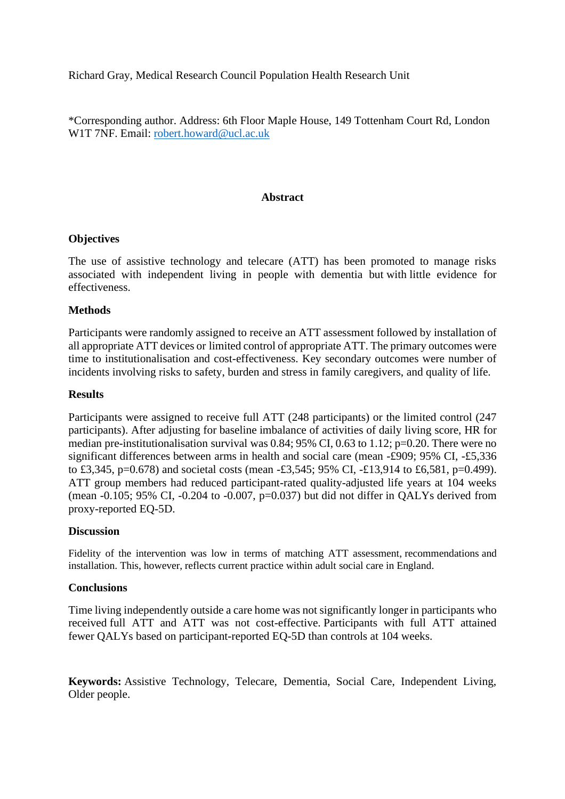Richard Gray, Medical Research Council Population Health Research Unit

\*Corresponding author. Address: 6th Floor Maple House, 149 Tottenham Court Rd, London W<sub>1</sub>T 7NF. Email: [robert.howard@ucl.ac.uk](mailto:robert.howard@ucl.ac.uk)

#### **Abstract**

#### **Objectives**

The use of assistive technology and telecare (ATT) has been promoted to manage risks associated with independent living in people with dementia but with little evidence for effectiveness.

#### **Methods**

Participants were randomly assigned to receive an ATT assessment followed by installation of all appropriate ATT devices or limited control of appropriate ATT. The primary outcomes were time to institutionalisation and cost-effectiveness. Key secondary outcomes were number of incidents involving risks to safety, burden and stress in family caregivers, and quality of life.

#### **Results**

Participants were assigned to receive full ATT (248 participants) or the limited control (247 participants). After adjusting for baseline imbalance of activities of daily living score, HR for median pre-institutionalisation survival was  $0.84$ ; 95% CI, 0.63 to 1.12; p=0.20. There were no significant differences between arms in health and social care (mean -£909; 95% CI, -£5,336 to £3,345, p=0.678) and societal costs (mean -£3,545; 95% CI, -£13,914 to £6,581, p=0.499). ATT group members had reduced participant-rated quality-adjusted life years at 104 weeks (mean  $-0.105$ ; 95% CI,  $-0.204$  to  $-0.007$ , p=0.037) but did not differ in QALYs derived from proxy-reported EQ-5D.

#### **Discussion**

Fidelity of the intervention was low in terms of matching ATT assessment, recommendations and installation. This, however, reflects current practice within adult social care in England.

#### **Conclusions**

Time living independently outside a care home was not significantly longer in participants who received full ATT and ATT was not cost-effective. Participants with full ATT attained fewer QALYs based on participant-reported EQ-5D than controls at 104 weeks.

**Keywords:** Assistive Technology, Telecare, Dementia, Social Care, Independent Living, Older people.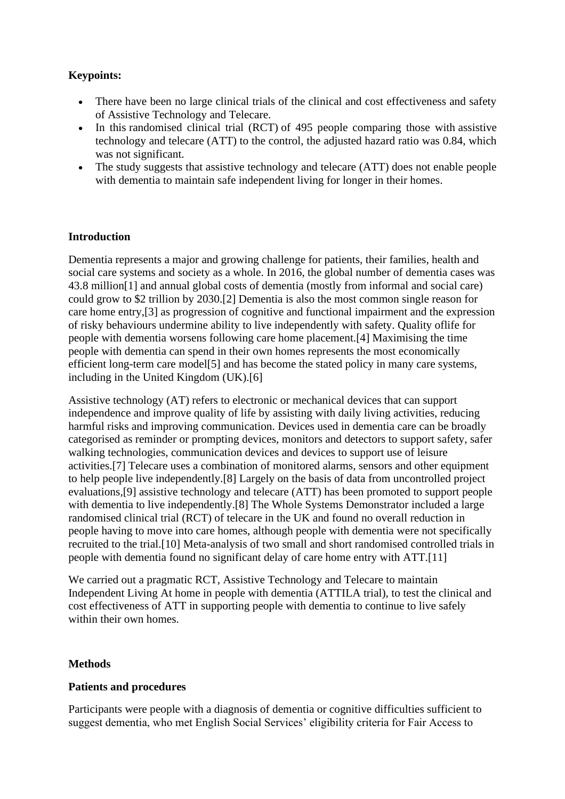# **Keypoints:**

- There have been no large clinical trials of the clinical and cost effectiveness and safety of Assistive Technology and Telecare.
- In this randomised clinical trial (RCT) of 495 people comparing those with assistive technology and telecare (ATT) to the control, the adjusted hazard ratio was 0.84, which was not significant.
- The study suggests that assistive technology and telecare (ATT) does not enable people with dementia to maintain safe independent living for longer in their homes.

## **Introduction**

Dementia represents a major and growing challenge for patients, their families, health and social care systems and society as a whole. In 2016, the global number of dementia cases was 43.8 million[1] and annual global costs of dementia (mostly from informal and social care) could grow to \$2 trillion by 2030.[2] Dementia is also the most common single reason for care home entry,[3] as progression of cognitive and functional impairment and the expression of risky behaviours undermine ability to live independently with safety. Quality oflife for people with dementia worsens following care home placement.[4] Maximising the time people with dementia can spend in their own homes represents the most economically efficient long-term care model[5] and has become the stated policy in many care systems, including in the United Kingdom (UK).[6]

Assistive technology (AT) refers to electronic or mechanical devices that can support independence and improve quality of life by assisting with daily living activities, reducing harmful risks and improving communication. Devices used in dementia care can be broadly categorised as reminder or prompting devices, monitors and detectors to support safety, safer walking technologies, communication devices and devices to support use of leisure activities.[7] Telecare uses a combination of monitored alarms, sensors and other equipment to help people live independently.[8] Largely on the basis of data from uncontrolled project evaluations,[9] assistive technology and telecare (ATT) has been promoted to support people with dementia to live independently.[8] The Whole Systems Demonstrator included a large randomised clinical trial (RCT) of telecare in the UK and found no overall reduction in people having to move into care homes, although people with dementia were not specifically recruited to the trial.[10] Meta-analysis of two small and short randomised controlled trials in people with dementia found no significant delay of care home entry with ATT.[11]

We carried out a pragmatic RCT, Assistive Technology and Telecare to maintain Independent Living At home in people with dementia (ATTILA trial), to test the clinical and cost effectiveness of ATT in supporting people with dementia to continue to live safely within their own homes.

#### **Methods**

#### **Patients and procedures**

Participants were people with a diagnosis of dementia or cognitive difficulties sufficient to suggest dementia, who met English Social Services' eligibility criteria for Fair Access to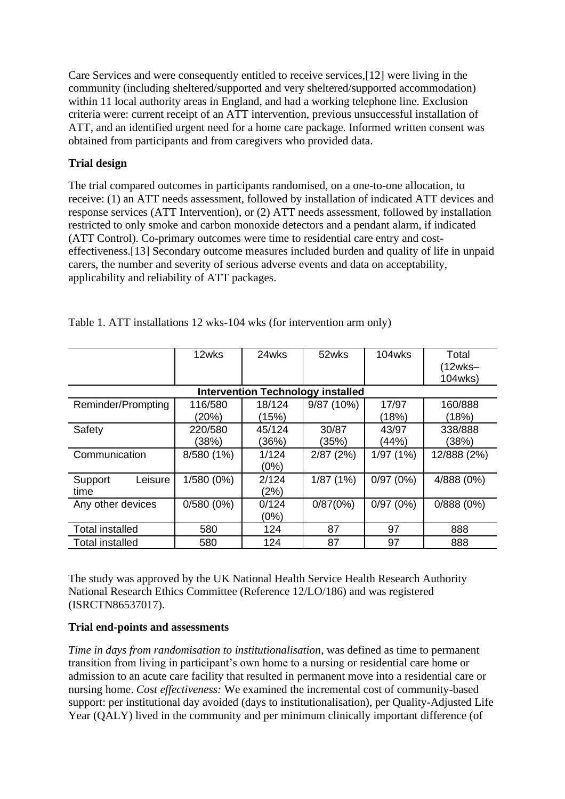Care Services and were consequently entitled to receive services,[12] were living in the community (including sheltered/supported and very sheltered/supported accommodation) within 11 local authority areas in England, and had a working telephone line. Exclusion criteria were: current receipt of an ATT intervention, previous unsuccessful installation of ATT, and an identified urgent need for a home care package. Informed written consent was obtained from participants and from caregivers who provided data.

# **Trial design**

The trial compared outcomes in participants randomised, on a one-to-one allocation, to receive: (1) an ATT needs assessment, followed by installation of indicated ATT devices and response services (ATT Intervention), or (2) ATT needs assessment, followed by installation restricted to only smoke and carbon monoxide detectors and a pendant alarm, if indicated (ATT Control). Co-primary outcomes were time to residential care entry and costeffectiveness.[13] Secondary outcome measures included burden and quality of life in unpaid carers, the number and severity of serious adverse events and data on acceptability, applicability and reliability of ATT packages.

|                            | 12wks            | 24wks           | 52wks                                    | 104wks         | Total<br>$(12wks -$<br>104wks) |
|----------------------------|------------------|-----------------|------------------------------------------|----------------|--------------------------------|
|                            |                  |                 | <b>Intervention Technology installed</b> |                |                                |
| Reminder/Prompting         | 116/580<br>(20%) | 18/124<br>(15%) | 9/87 (10%)                               | 17/97<br>(18%) | 160/888<br>(18%)               |
| Safety                     | 220/580<br>(38%) | 45/124<br>(36%) | 30/87<br>(35%)                           | 43/97<br>(44%) | 338/888<br>(38%)               |
| Communication              | 8/580 (1%)       | 1/124<br>(0%)   | 2/87(2%)                                 | 1/97(1%)       | 12/888 (2%)                    |
| Leisure<br>Support<br>time | 1/580 (0%)       | 2/124<br>(2%)   | 1/87(1%)                                 | 0/97(0%)       | 4/888 (0%)                     |
| Any other devices          | $0/580(0\%)$     | 0/124<br>(0%)   | 0/87(0%)                                 | 0/97(0%)       | 0/888(0%)                      |
| <b>Total installed</b>     | 580              | 124             | 87                                       | 97             | 888                            |
| <b>Total installed</b>     | 580              | 124             | 87                                       | 97             | 888                            |

Table 1. ATT installations 12 wks-104 wks (for intervention arm only)

The study was approved by the UK National Health Service Health Research Authority National Research Ethics Committee (Reference 12/LO/186) and was registered (ISRCTN86537017).

## **Trial end-points and assessments**

*Time in days from randomisation to institutionalisation*, was defined as time to permanent transition from living in participant's own home to a nursing or residential care home or admission to an acute care facility that resulted in permanent move into a residential care or nursing home. *Cost effectiveness:* We examined the incremental cost of community-based support: per institutional day avoided (days to institutionalisation), per Quality-Adjusted Life Year (QALY) lived in the community and per minimum clinically important difference (of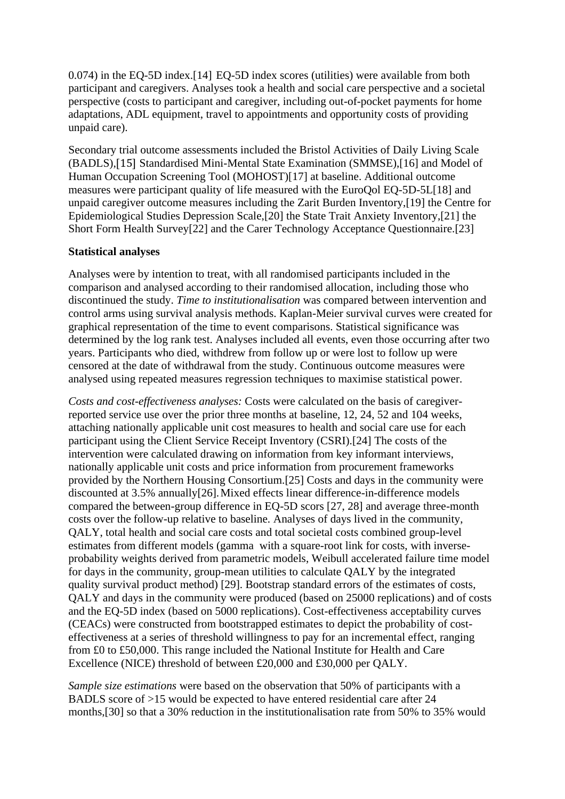0.074) in the EQ-5D index.[14] EQ-5D index scores (utilities) were available from both participant and caregivers. Analyses took a health and social care perspective and a societal perspective (costs to participant and caregiver, including out-of-pocket payments for home adaptations, ADL equipment, travel to appointments and opportunity costs of providing unpaid care).

Secondary trial outcome assessments included the Bristol Activities of Daily Living Scale (BADLS),[15] Standardised Mini-Mental State Examination (SMMSE),[16] and Model of Human Occupation Screening Tool (MOHOST)[17] at baseline. Additional outcome measures were participant quality of life measured with the EuroQol EQ-5D-5L[18] and unpaid caregiver outcome measures including the Zarit Burden Inventory,[19] the Centre for Epidemiological Studies Depression Scale,[20] the State Trait Anxiety Inventory,[21] the Short Form Health Survey[22] and the Carer Technology Acceptance Questionnaire.[23]

#### **Statistical analyses**

Analyses were by intention to treat, with all randomised participants included in the comparison and analysed according to their randomised allocation, including those who discontinued the study. *Time to institutionalisation* was compared between intervention and control arms using survival analysis methods. Kaplan-Meier survival curves were created for graphical representation of the time to event comparisons. Statistical significance was determined by the log rank test. Analyses included all events, even those occurring after two years. Participants who died, withdrew from follow up or were lost to follow up were censored at the date of withdrawal from the study. Continuous outcome measures were analysed using repeated measures regression techniques to maximise statistical power.

*Costs and cost-effectiveness analyses:* Costs were calculated on the basis of caregiverreported service use over the prior three months at baseline, 12, 24, 52 and 104 weeks, attaching nationally applicable unit cost measures to health and social care use for each participant using the Client Service Receipt Inventory (CSRI).[24] The costs of the intervention were calculated drawing on information from key informant interviews, nationally applicable unit costs and price information from procurement frameworks provided by the Northern Housing Consortium.[25] Costs and days in the community were discounted at 3.5% annually[26].Mixed effects linear difference-in-difference models compared the between-group difference in EQ-5D scors [27, 28] and average three-month costs over the follow-up relative to baseline. Analyses of days lived in the community, QALY, total health and social care costs and total societal costs combined group-level estimates from different models (gamma with a square-root link for costs, with inverseprobability weights derived from parametric models, Weibull accelerated failure time model for days in the community, group-mean utilities to calculate QALY by the integrated quality survival product method) [29]. Bootstrap standard errors of the estimates of costs, QALY and days in the community were produced (based on 25000 replications) and of costs and the EQ-5D index (based on 5000 replications). Cost-effectiveness acceptability curves (CEACs) were constructed from bootstrapped estimates to depict the probability of costeffectiveness at a series of threshold willingness to pay for an incremental effect, ranging from £0 to £50,000. This range included the National Institute for Health and Care Excellence (NICE) threshold of between £20,000 and £30,000 per QALY.

*Sample size estimations* were based on the observation that 50% of participants with a BADLS score of >15 would be expected to have entered residential care after 24 months,[30] so that a 30% reduction in the institutionalisation rate from 50% to 35% would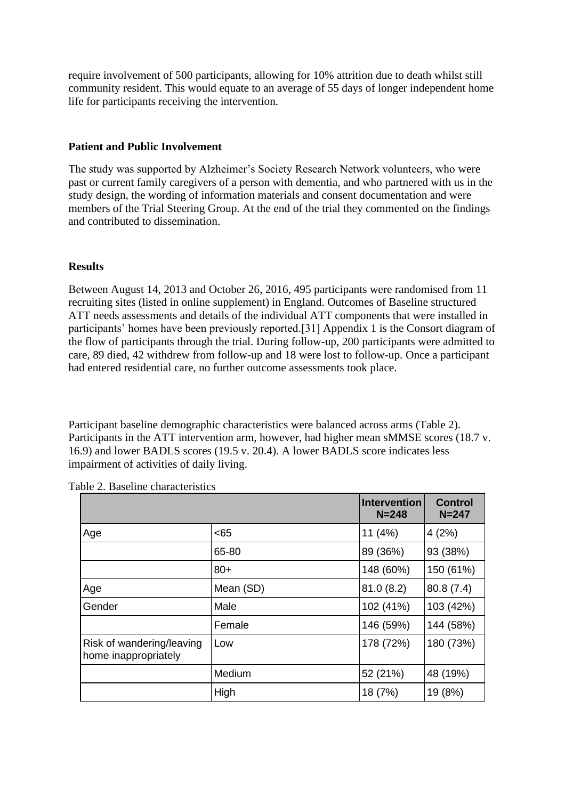require involvement of 500 participants, allowing for 10% attrition due to death whilst still community resident. This would equate to an average of 55 days of longer independent home life for participants receiving the intervention.

#### **Patient and Public Involvement**

The study was supported by Alzheimer's Society Research Network volunteers, who were past or current family caregivers of a person with dementia, and who partnered with us in the study design, the wording of information materials and consent documentation and were members of the Trial Steering Group. At the end of the trial they commented on the findings and contributed to dissemination.

#### **Results**

Between August 14, 2013 and October 26, 2016, 495 participants were randomised from 11 recruiting sites (listed in online supplement) in England. Outcomes of Baseline structured ATT needs assessments and details of the individual ATT components that were installed in participants' homes have been previously reported.[31] Appendix 1 is the Consort diagram of the flow of participants through the trial. During follow-up, 200 participants were admitted to care, 89 died, 42 withdrew from follow-up and 18 were lost to follow-up. Once a participant had entered residential care, no further outcome assessments took place.

Participant baseline demographic characteristics were balanced across arms (Table 2). Participants in the ATT intervention arm, however, had higher mean sMMSE scores (18.7 v. 16.9) and lower BADLS scores (19.5 v. 20.4). A lower BADLS score indicates less impairment of activities of daily living.

|                                                   |           | <b>Intervention</b><br>$N = 248$ | <b>Control</b><br>$N = 247$ |
|---------------------------------------------------|-----------|----------------------------------|-----------------------------|
| Age                                               | <65       | 11 $(4%)$                        | 4(2%)                       |
|                                                   | 65-80     | 89 (36%)                         | 93 (38%)                    |
|                                                   | $80+$     | 148 (60%)                        | 150 (61%)                   |
| Age                                               | Mean (SD) | 81.0(8.2)                        | 80.8 (7.4)                  |
| Gender                                            | Male      | 102 (41%)                        | 103 (42%)                   |
|                                                   | Female    | 146 (59%)                        | 144 (58%)                   |
| Risk of wandering/leaving<br>home inappropriately | Low       | 178 (72%)                        | 180 (73%)                   |
|                                                   | Medium    | 52 (21%)                         | 48 (19%)                    |
|                                                   | High      | 18 (7%)                          | 19 (8%)                     |

Table 2. Baseline characteristics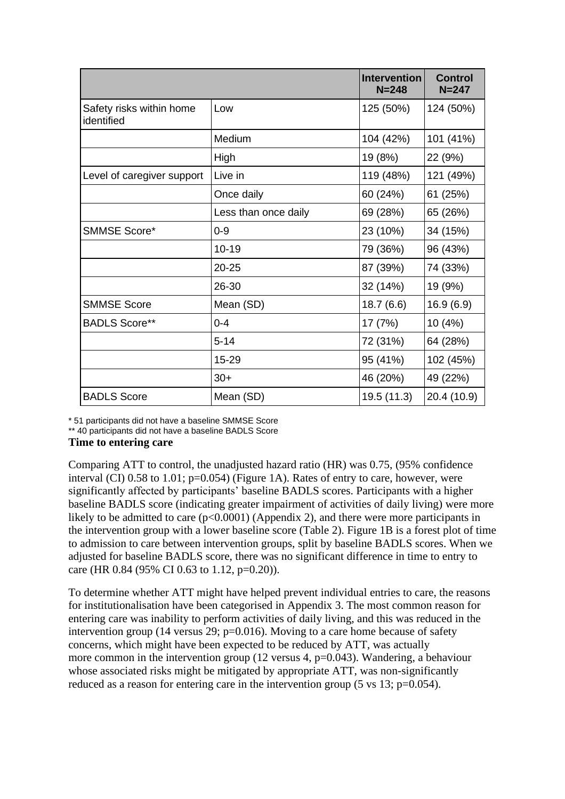|                                        |                      | <b>Intervention</b><br>$N = 248$ | <b>Control</b><br>$N = 247$ |
|----------------------------------------|----------------------|----------------------------------|-----------------------------|
| Safety risks within home<br>identified | Low                  | 125 (50%)                        | 124 (50%)                   |
|                                        | Medium               | 104 (42%)                        | 101 (41%)                   |
|                                        | High                 | 19 (8%)                          | 22 (9%)                     |
| Level of caregiver support             | Live in              | 119 (48%)                        | 121 (49%)                   |
|                                        | Once daily           | 60 (24%)                         | 61 (25%)                    |
|                                        | Less than once daily | 69 (28%)                         | 65 (26%)                    |
| <b>SMMSE Score*</b>                    | $0 - 9$              | 23 (10%)                         | 34 (15%)                    |
|                                        | $10 - 19$            | 79 (36%)                         | 96 (43%)                    |
|                                        | $20 - 25$            | 87 (39%)                         | 74 (33%)                    |
|                                        | 26-30                | 32 (14%)                         | 19 (9%)                     |
| <b>SMMSE Score</b>                     | Mean (SD)            | 18.7(6.6)                        | 16.9(6.9)                   |
| <b>BADLS Score**</b>                   | $0 - 4$              | 17 (7%)                          | 10 (4%)                     |
|                                        | $5 - 14$             | 72 (31%)                         | 64 (28%)                    |
|                                        | 15-29                | 95 (41%)                         | 102 (45%)                   |
|                                        | $30+$                | 46 (20%)                         | 49 (22%)                    |
| <b>BADLS Score</b>                     | Mean (SD)            | 19.5 (11.3)                      | 20.4 (10.9)                 |

\* 51 participants did not have a baseline SMMSE Score

\*\* 40 participants did not have a baseline BADLS Score

#### **Time to entering care**

Comparing ATT to control, the unadjusted hazard ratio (HR) was 0.75, (95% confidence interval (CI) 0.58 to 1.01; p=0.054) (Figure 1A). Rates of entry to care, however, were significantly affected by participants' baseline BADLS scores. Participants with a higher baseline BADLS score (indicating greater impairment of activities of daily living) were more likely to be admitted to care  $(p<0.0001)$  (Appendix 2), and there were more participants in the intervention group with a lower baseline score (Table 2). Figure 1B is a forest plot of time to admission to care between intervention groups, split by baseline BADLS scores. When we adjusted for baseline BADLS score, there was no significant difference in time to entry to care (HR 0.84 (95% CI 0.63 to 1.12, p=0.20)).

To determine whether ATT might have helped prevent individual entries to care, the reasons for institutionalisation have been categorised in Appendix 3. The most common reason for entering care was inability to perform activities of daily living, and this was reduced in the intervention group (14 versus 29; p=0.016). Moving to a care home because of safety concerns, which might have been expected to be reduced by ATT, was actually more common in the intervention group (12 versus 4, p=0.043). Wandering, a behaviour whose associated risks might be mitigated by appropriate ATT, was non-significantly reduced as a reason for entering care in the intervention group (5 vs 13; p=0.054).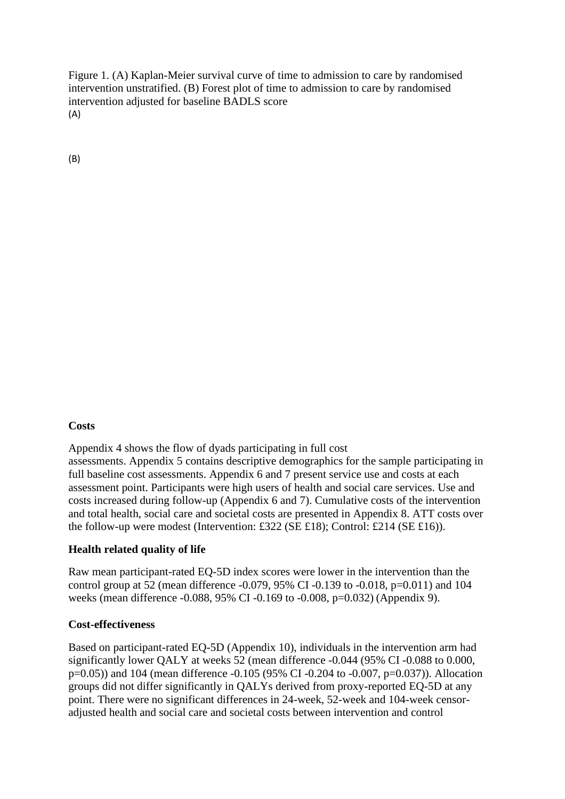Figure 1. (A) Kaplan-Meier survival curve of time to admission to care by randomised intervention unstratified. (B) Forest plot of time to admission to care by randomised intervention adjusted for baseline BADLS score (A)

(B)

## **Costs**

Appendix 4 shows the flow of dyads participating in full cost assessments. Appendix 5 contains descriptive demographics for the sample participating in full baseline cost assessments. Appendix 6 and 7 present service use and costs at each assessment point. Participants were high users of health and social care services. Use and costs increased during follow-up (Appendix 6 and 7). Cumulative costs of the intervention and total health, social care and societal costs are presented in Appendix 8. ATT costs over the follow-up were modest (Intervention: £322 (SE £18); Control: £214 (SE £16)).

## **Health related quality of life**

Raw mean participant-rated EQ-5D index scores were lower in the intervention than the control group at 52 (mean difference -0.079, 95% CI -0.139 to -0.018, p=0.011) and 104 weeks (mean difference -0.088, 95% CI -0.169 to -0.008, p=0.032) (Appendix 9).

#### **Cost-effectiveness**

Based on participant-rated EQ-5D (Appendix 10), individuals in the intervention arm had significantly lower QALY at weeks 52 (mean difference -0.044 (95% CI -0.088 to 0.000, p=0.05)) and 104 (mean difference -0.105 (95% CI -0.204 to -0.007, p=0.037)). Allocation groups did not differ significantly in QALYs derived from proxy-reported EQ-5D at any point. There were no significant differences in 24-week, 52-week and 104-week censoradjusted health and social care and societal costs between intervention and control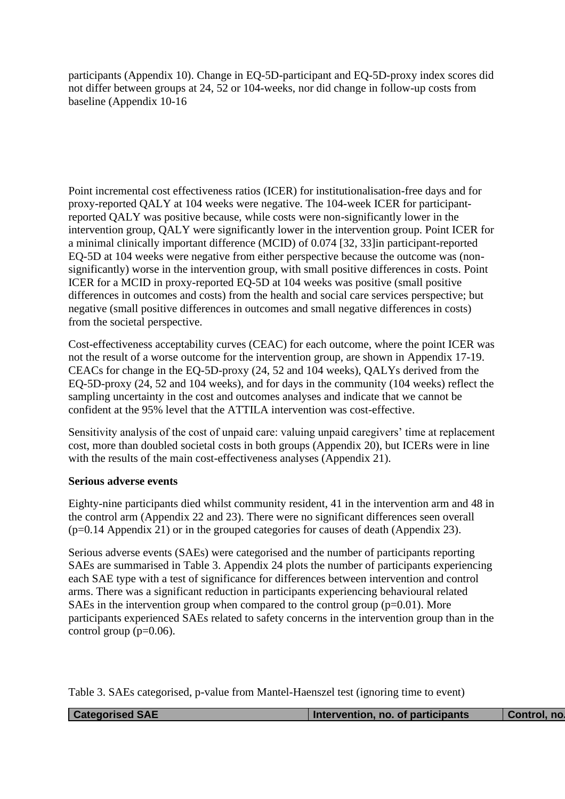participants (Appendix 10). Change in EQ-5D-participant and EQ-5D-proxy index scores did not differ between groups at 24, 52 or 104-weeks, nor did change in follow-up costs from baseline (Appendix 10-16

Point incremental cost effectiveness ratios (ICER) for institutionalisation-free days and for proxy-reported QALY at 104 weeks were negative. The 104-week ICER for participantreported QALY was positive because, while costs were non-significantly lower in the intervention group, QALY were significantly lower in the intervention group. Point ICER for a minimal clinically important difference (MCID) of 0.074 [32, 33]in participant-reported EQ-5D at 104 weeks were negative from either perspective because the outcome was (nonsignificantly) worse in the intervention group, with small positive differences in costs. Point ICER for a MCID in proxy-reported EQ-5D at 104 weeks was positive (small positive differences in outcomes and costs) from the health and social care services perspective; but negative (small positive differences in outcomes and small negative differences in costs) from the societal perspective.

Cost-effectiveness acceptability curves (CEAC) for each outcome, where the point ICER was not the result of a worse outcome for the intervention group, are shown in Appendix 17-19. CEACs for change in the EQ-5D-proxy (24, 52 and 104 weeks), QALYs derived from the EQ-5D-proxy (24, 52 and 104 weeks), and for days in the community (104 weeks) reflect the sampling uncertainty in the cost and outcomes analyses and indicate that we cannot be confident at the 95% level that the ATTILA intervention was cost-effective.

Sensitivity analysis of the cost of unpaid care: valuing unpaid caregivers' time at replacement cost, more than doubled societal costs in both groups (Appendix 20), but ICERs were in line with the results of the main cost-effectiveness analyses (Appendix 21).

#### **Serious adverse events**

Eighty-nine participants died whilst community resident, 41 in the intervention arm and 48 in the control arm (Appendix 22 and 23). There were no significant differences seen overall (p=0.14 Appendix 21) or in the grouped categories for causes of death (Appendix 23).

Serious adverse events (SAEs) were categorised and the number of participants reporting SAEs are summarised in Table 3. Appendix 24 plots the number of participants experiencing each SAE type with a test of significance for differences between intervention and control arms. There was a significant reduction in participants experiencing behavioural related SAEs in the intervention group when compared to the control group  $(p=0.01)$ . More participants experienced SAEs related to safety concerns in the intervention group than in the control group  $(p=0.06)$ .

|  | Table 3. SAEs categorised, p-value from Mantel-Haenszel test (ignoring time to event) |  |
|--|---------------------------------------------------------------------------------------|--|
|--|---------------------------------------------------------------------------------------|--|

|--|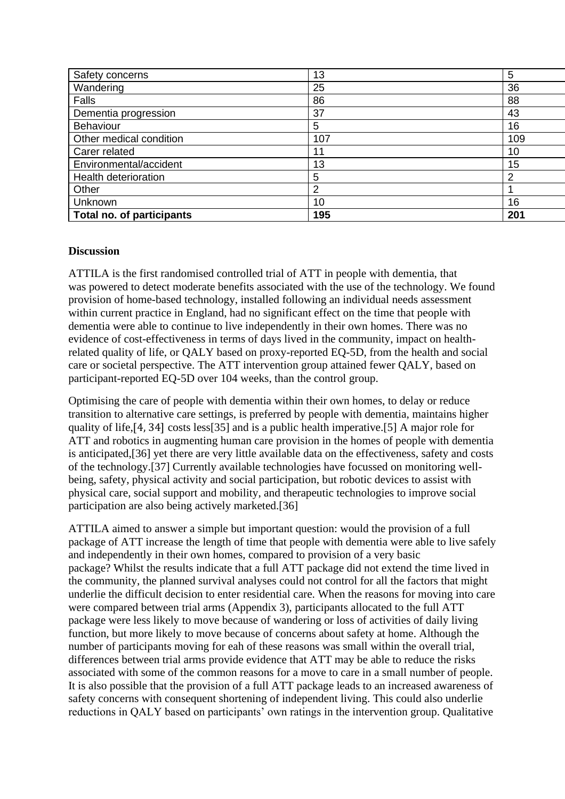| Safety concerns           | 13  | 5   |
|---------------------------|-----|-----|
| Wandering                 | 25  | 36  |
| Falls                     | 86  | 88  |
| Dementia progression      | 37  | 43  |
| Behaviour                 | 5   | 16  |
| Other medical condition   | 107 | 109 |
| Carer related             | 11  | 10  |
| Environmental/accident    | 13  | 15  |
| Health deterioration      | 5   | 2   |
| Other                     | 2   |     |
| <b>Unknown</b>            | 10  | 16  |
| Total no. of participants | 195 | 201 |

## **Discussion**

ATTILA is the first randomised controlled trial of ATT in people with dementia, that was powered to detect moderate benefits associated with the use of the technology. We found provision of home-based technology, installed following an individual needs assessment within current practice in England, had no significant effect on the time that people with dementia were able to continue to live independently in their own homes. There was no evidence of cost-effectiveness in terms of days lived in the community, impact on healthrelated quality of life, or QALY based on proxy-reported EQ-5D, from the health and social care or societal perspective. The ATT intervention group attained fewer QALY, based on participant-reported EQ-5D over 104 weeks, than the control group.

Optimising the care of people with dementia within their own homes, to delay or reduce transition to alternative care settings, is preferred by people with dementia, maintains higher quality of life,[4, 34] costs less[35] and is a public health imperative.[5] A major role for ATT and robotics in augmenting human care provision in the homes of people with dementia is anticipated,[36] yet there are very little available data on the effectiveness, safety and costs of the technology.[37] Currently available technologies have focussed on monitoring wellbeing, safety, physical activity and social participation, but robotic devices to assist with physical care, social support and mobility, and therapeutic technologies to improve social participation are also being actively marketed.[36]

ATTILA aimed to answer a simple but important question: would the provision of a full package of ATT increase the length of time that people with dementia were able to live safely and independently in their own homes, compared to provision of a very basic package? Whilst the results indicate that a full ATT package did not extend the time lived in the community, the planned survival analyses could not control for all the factors that might underlie the difficult decision to enter residential care. When the reasons for moving into care were compared between trial arms (Appendix 3), participants allocated to the full ATT package were less likely to move because of wandering or loss of activities of daily living function, but more likely to move because of concerns about safety at home. Although the number of participants moving for eah of these reasons was small within the overall trial, differences between trial arms provide evidence that ATT may be able to reduce the risks associated with some of the common reasons for a move to care in a small number of people. It is also possible that the provision of a full ATT package leads to an increased awareness of safety concerns with consequent shortening of independent living. This could also underlie reductions in QALY based on participants' own ratings in the intervention group. Qualitative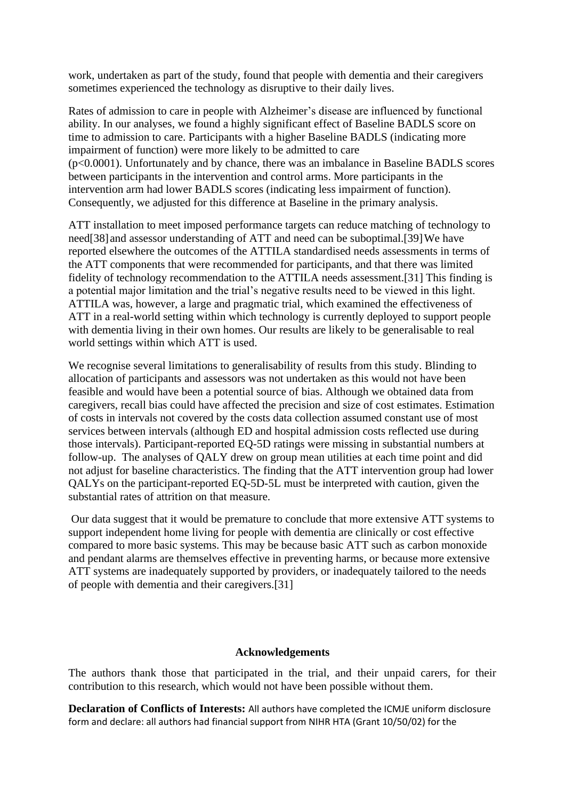work, undertaken as part of the study, found that people with dementia and their caregivers sometimes experienced the technology as disruptive to their daily lives.

Rates of admission to care in people with Alzheimer's disease are influenced by functional ability. In our analyses, we found a highly significant effect of Baseline BADLS score on time to admission to care. Participants with a higher Baseline BADLS (indicating more impairment of function) were more likely to be admitted to care (p<0.0001). Unfortunately and by chance, there was an imbalance in Baseline BADLS scores between participants in the intervention and control arms. More participants in the intervention arm had lower BADLS scores (indicating less impairment of function). Consequently, we adjusted for this difference at Baseline in the primary analysis.

ATT installation to meet imposed performance targets can reduce matching of technology to need[38]and assessor understanding of ATT and need can be suboptimal.[39]We have reported elsewhere the outcomes of the ATTILA standardised needs assessments in terms of the ATT components that were recommended for participants, and that there was limited fidelity of technology recommendation to the ATTILA needs assessment.[31] This finding is a potential major limitation and the trial's negative results need to be viewed in this light. ATTILA was, however, a large and pragmatic trial, which examined the effectiveness of ATT in a real-world setting within which technology is currently deployed to support people with dementia living in their own homes. Our results are likely to be generalisable to real world settings within which ATT is used.

We recognise several limitations to generalisability of results from this study. Blinding to allocation of participants and assessors was not undertaken as this would not have been feasible and would have been a potential source of bias. Although we obtained data from caregivers, recall bias could have affected the precision and size of cost estimates. Estimation of costs in intervals not covered by the costs data collection assumed constant use of most services between intervals (although ED and hospital admission costs reflected use during those intervals). Participant-reported EQ-5D ratings were missing in substantial numbers at follow-up. The analyses of QALY drew on group mean utilities at each time point and did not adjust for baseline characteristics. The finding that the ATT intervention group had lower QALYs on the participant-reported EQ-5D-5L must be interpreted with caution, given the substantial rates of attrition on that measure.

Our data suggest that it would be premature to conclude that more extensive ATT systems to support independent home living for people with dementia are clinically or cost effective compared to more basic systems. This may be because basic ATT such as carbon monoxide and pendant alarms are themselves effective in preventing harms, or because more extensive ATT systems are inadequately supported by providers, or inadequately tailored to the needs of people with dementia and their caregivers.[31]

#### **Acknowledgements**

The authors thank those that participated in the trial, and their unpaid carers, for their contribution to this research, which would not have been possible without them.

**Declaration of Conflicts of Interests:** All authors have completed the ICMJE uniform disclosure form and declare: all authors had financial support from NIHR HTA (Grant 10/50/02) for the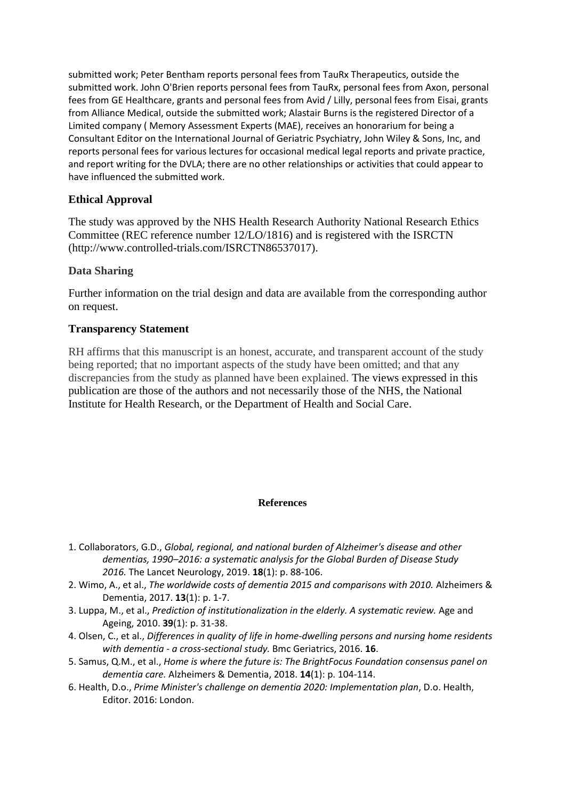submitted work; Peter Bentham reports personal fees from TauRx Therapeutics, outside the submitted work. John O'Brien reports personal fees from TauRx, personal fees from Axon, personal fees from GE Healthcare, grants and personal fees from Avid / Lilly, personal fees from Eisai, grants from Alliance Medical, outside the submitted work; Alastair Burns is the registered Director of a Limited company ( Memory Assessment Experts (MAE), receives an honorarium for being a Consultant Editor on the International Journal of Geriatric Psychiatry, John Wiley & Sons, Inc, and reports personal fees for various lectures for occasional medical legal reports and private practice, and report writing for the DVLA; there are no other relationships or activities that could appear to have influenced the submitted work.

## **Ethical Approval**

The study was approved by the NHS Health Research Authority National Research Ethics Committee (REC reference number 12/LO/1816) and is registered with the ISRCTN (http://www.controlled-trials.com/ISRCTN86537017).

## **Data Sharing**

Further information on the trial design and data are available from the corresponding author on request.

#### **Transparency Statement**

RH affirms that this manuscript is an honest, accurate, and transparent account of the study being reported; that no important aspects of the study have been omitted; and that any discrepancies from the study as planned have been explained. The views expressed in this publication are those of the authors and not necessarily those of the NHS, the National Institute for Health Research, or the Department of Health and Social Care.

#### **References**

- 1. Collaborators, G.D., *Global, regional, and national burden of Alzheimer's disease and other dementias, 1990–2016: a systematic analysis for the Global Burden of Disease Study 2016.* The Lancet Neurology, 2019. **18**(1): p. 88-106.
- 2. Wimo, A., et al., *The worldwide costs of dementia 2015 and comparisons with 2010.* Alzheimers & Dementia, 2017. **13**(1): p. 1-7.
- 3. Luppa, M., et al., *Prediction of institutionalization in the elderly. A systematic review.* Age and Ageing, 2010. **39**(1): p. 31-38.
- 4. Olsen, C., et al., *Differences in quality of life in home-dwelling persons and nursing home residents with dementia - a cross-sectional study.* Bmc Geriatrics, 2016. **16**.
- 5. Samus, Q.M., et al., *Home is where the future is: The BrightFocus Foundation consensus panel on dementia care.* Alzheimers & Dementia, 2018. **14**(1): p. 104-114.
- 6. Health, D.o., *Prime Minister's challenge on dementia 2020: Implementation plan*, D.o. Health, Editor. 2016: London.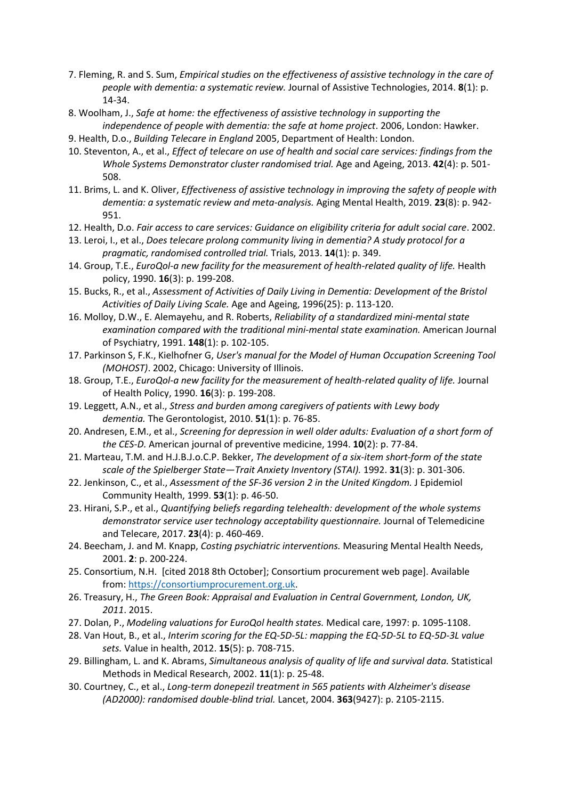- 7. Fleming, R. and S. Sum, *Empirical studies on the effectiveness of assistive technology in the care of people with dementia: a systematic review.* Journal of Assistive Technologies, 2014. **8**(1): p. 14-34.
- 8. Woolham, J., *Safe at home: the effectiveness of assistive technology in supporting the independence of people with dementia: the safe at home project*. 2006, London: Hawker.
- 9. Health, D.o., *Building Telecare in England* 2005, Department of Health: London.
- 10. Steventon, A., et al., *Effect of telecare on use of health and social care services: findings from the Whole Systems Demonstrator cluster randomised trial.* Age and Ageing, 2013. **42**(4): p. 501- 508.
- 11. Brims, L. and K. Oliver, *Effectiveness of assistive technology in improving the safety of people with dementia: a systematic review and meta-analysis.* Aging Mental Health, 2019. **23**(8): p. 942- 951.
- 12. Health, D.o. *Fair access to care services: Guidance on eligibility criteria for adult social care*. 2002.
- 13. Leroi, I., et al., *Does telecare prolong community living in dementia? A study protocol for a pragmatic, randomised controlled trial.* Trials, 2013. **14**(1): p. 349.
- 14. Group, T.E., *EuroQol-a new facility for the measurement of health-related quality of life.* Health policy, 1990. **16**(3): p. 199-208.
- 15. Bucks, R., et al., *Assessment of Activities of Daily Living in Dementia: Development of the Bristol Activities of Daily Living Scale.* Age and Ageing, 1996(25): p. 113-120.
- 16. Molloy, D.W., E. Alemayehu, and R. Roberts, *Reliability of a standardized mini-mental state examination compared with the traditional mini-mental state examination.* American Journal of Psychiatry, 1991. **148**(1): p. 102-105.
- 17. Parkinson S, F.K., Kielhofner G, *User's manual for the Model of Human Occupation Screening Tool (MOHOST)*. 2002, Chicago: University of Illinois.
- 18. Group, T.E., *EuroQol-a new facility for the measurement of health-related quality of life.* Journal of Health Policy, 1990. **16**(3): p. 199-208.
- 19. Leggett, A.N., et al., *Stress and burden among caregivers of patients with Lewy body dementia.* The Gerontologist, 2010. **51**(1): p. 76-85.
- 20. Andresen, E.M., et al., *Screening for depression in well older adults: Evaluation of a short form of the CES-D.* American journal of preventive medicine, 1994. **10**(2): p. 77-84.
- 21. Marteau, T.M. and H.J.B.J.o.C.P. Bekker, *The development of a six‐item short‐form of the state scale of the Spielberger State—Trait Anxiety Inventory (STAI).* 1992. **31**(3): p. 301-306.
- 22. Jenkinson, C., et al., *Assessment of the SF-36 version 2 in the United Kingdom.* J Epidemiol Community Health, 1999. **53**(1): p. 46-50.
- 23. Hirani, S.P., et al., *Quantifying beliefs regarding telehealth: development of the whole systems demonstrator service user technology acceptability questionnaire.* Journal of Telemedicine and Telecare, 2017. **23**(4): p. 460-469.
- 24. Beecham, J. and M. Knapp, *Costing psychiatric interventions.* Measuring Mental Health Needs, 2001. **2**: p. 200-224.
- 25. Consortium, N.H. [cited 2018 8th October]; Consortium procurement web page]. Available from: [https://consortiumprocurement.org.uk.](https://consortiumprocurement.org.uk/)
- 26. Treasury, H., *The Green Book: Appraisal and Evaluation in Central Government, London, UK, 2011*. 2015.
- 27. Dolan, P., *Modeling valuations for EuroQol health states.* Medical care, 1997: p. 1095-1108.
- 28. Van Hout, B., et al., *Interim scoring for the EQ-5D-5L: mapping the EQ-5D-5L to EQ-5D-3L value sets.* Value in health, 2012. **15**(5): p. 708-715.
- 29. Billingham, L. and K. Abrams, *Simultaneous analysis of quality of life and survival data.* Statistical Methods in Medical Research, 2002. **11**(1): p. 25-48.
- 30. Courtney, C., et al., *Long-term donepezil treatment in 565 patients with Alzheimer's disease (AD2000): randomised double-blind trial.* Lancet, 2004. **363**(9427): p. 2105-2115.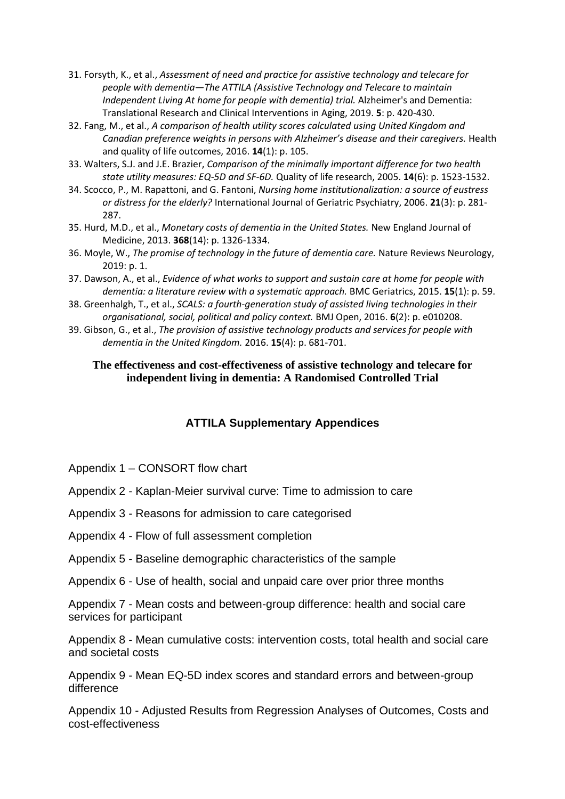- 31. Forsyth, K., et al., *Assessment of need and practice for assistive technology and telecare for people with dementia—The ATTILA (Assistive Technology and Telecare to maintain Independent Living At home for people with dementia) trial.* Alzheimer's and Dementia: Translational Research and Clinical Interventions in Aging, 2019. **5**: p. 420-430.
- 32. Fang, M., et al., *A comparison of health utility scores calculated using United Kingdom and Canadian preference weights in persons with Alzheimer's disease and their caregivers.* Health and quality of life outcomes, 2016. **14**(1): p. 105.
- 33. Walters, S.J. and J.E. Brazier, *Comparison of the minimally important difference for two health state utility measures: EQ-5D and SF-6D.* Quality of life research, 2005. **14**(6): p. 1523-1532.
- 34. Scocco, P., M. Rapattoni, and G. Fantoni, *Nursing home institutionalization: a source of eustress or distress for the elderly?* International Journal of Geriatric Psychiatry, 2006. **21**(3): p. 281- 287.
- 35. Hurd, M.D., et al., *Monetary costs of dementia in the United States.* New England Journal of Medicine, 2013. **368**(14): p. 1326-1334.
- 36. Moyle, W., *The promise of technology in the future of dementia care.* Nature Reviews Neurology, 2019: p. 1.
- 37. Dawson, A., et al., *Evidence of what works to support and sustain care at home for people with dementia: a literature review with a systematic approach.* BMC Geriatrics, 2015. **15**(1): p. 59.
- 38. Greenhalgh, T., et al., *SCALS: a fourth-generation study of assisted living technologies in their organisational, social, political and policy context.* BMJ Open, 2016. **6**(2): p. e010208.
- 39. Gibson, G., et al., *The provision of assistive technology products and services for people with dementia in the United Kingdom.* 2016. **15**(4): p. 681-701.

#### **The effectiveness and cost-effectiveness of assistive technology and telecare for independent living in dementia: A Randomised Controlled Trial**

# **ATTILA Supplementary Appendices**

- Appendix 1 CONSORT flow chart
- Appendix 2 Kaplan-Meier survival curve: Time to admission to care
- Appendix 3 Reasons for admission to care categorised
- Appendix 4 Flow of full assessment completion
- Appendix 5 Baseline demographic characteristics of the sample
- Appendix 6 Use of health, social and unpaid care over prior three months

Appendix 7 - Mean costs and between-group difference: health and social care services for participant

Appendix 8 - Mean cumulative costs: intervention costs, total health and social care and societal costs

Appendix 9 - Mean EQ-5D index scores and standard errors and between-group difference

Appendix 10 - Adjusted Results from Regression Analyses of Outcomes, Costs and cost-effectiveness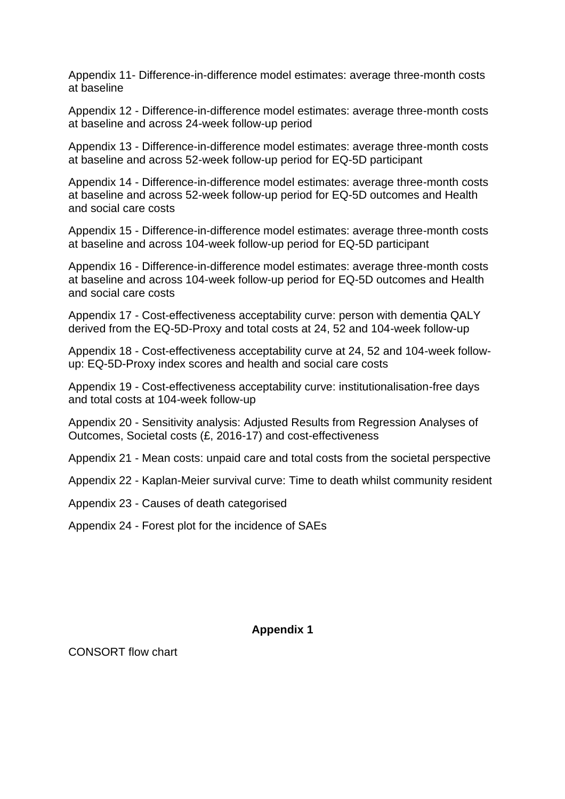Appendix 11- Difference-in-difference model estimates: average three-month costs at baseline

Appendix 12 - Difference-in-difference model estimates: average three-month costs at baseline and across 24-week follow-up period

Appendix 13 - Difference-in-difference model estimates: average three-month costs at baseline and across 52-week follow-up period for EQ-5D participant

Appendix 14 - Difference-in-difference model estimates: average three-month costs at baseline and across 52-week follow-up period for EQ-5D outcomes and Health and social care costs

Appendix 15 - Difference-in-difference model estimates: average three-month costs at baseline and across 104-week follow-up period for EQ-5D participant

Appendix 16 - Difference-in-difference model estimates: average three-month costs at baseline and across 104-week follow-up period for EQ-5D outcomes and Health and social care costs

Appendix 17 - Cost-effectiveness acceptability curve: person with dementia QALY derived from the EQ-5D-Proxy and total costs at 24, 52 and 104-week follow-up

Appendix 18 - Cost-effectiveness acceptability curve at 24, 52 and 104-week followup: EQ-5D-Proxy index scores and health and social care costs

Appendix 19 - Cost-effectiveness acceptability curve: institutionalisation-free days and total costs at 104-week follow-up

Appendix 20 - Sensitivity analysis: Adjusted Results from Regression Analyses of Outcomes, Societal costs (£, 2016-17) and cost-effectiveness

Appendix 21 - Mean costs: unpaid care and total costs from the societal perspective

Appendix 22 - Kaplan-Meier survival curve: Time to death whilst community resident

Appendix 23 - Causes of death categorised

Appendix 24 - Forest plot for the incidence of SAEs

#### **Appendix 1**

CONSORT flow chart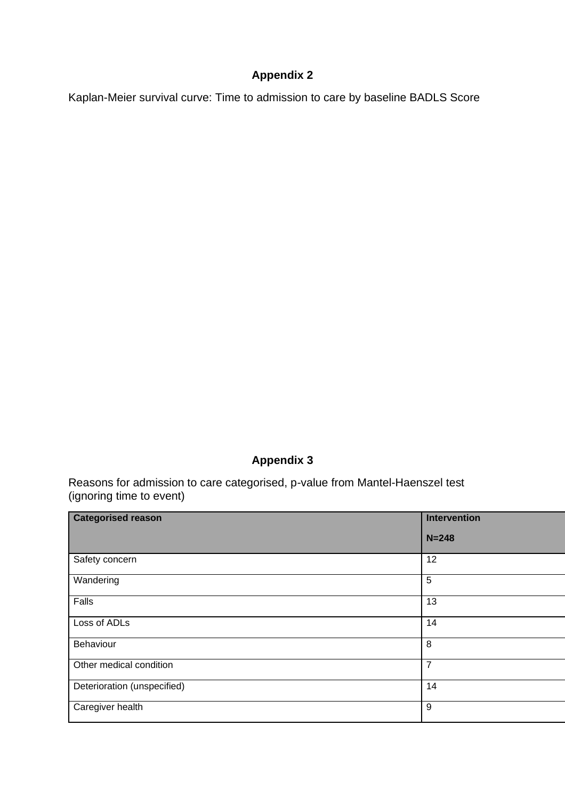# **Appendix 2**

Kaplan-Meier survival curve: Time to admission to care by baseline BADLS Score

# **Appendix 3**

Reasons for admission to care categorised, p-value from Mantel-Haenszel test (ignoring time to event)

| <b>Categorised reason</b>   | <b>Intervention</b> |
|-----------------------------|---------------------|
|                             | $N = 248$           |
| Safety concern              | 12                  |
| Wandering                   | 5                   |
| Falls                       | 13                  |
| Loss of ADLs                | 14                  |
| Behaviour                   | 8                   |
| Other medical condition     | $\overline{7}$      |
| Deterioration (unspecified) | 14                  |
| Caregiver health            | 9                   |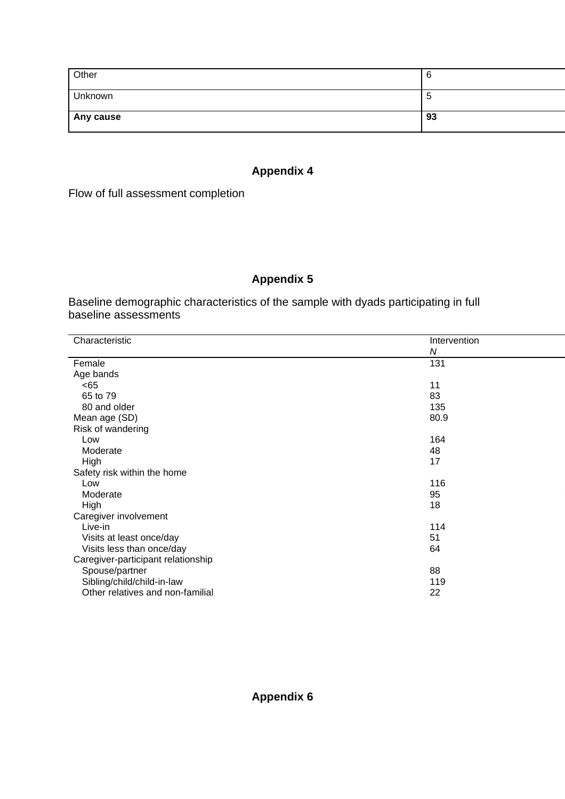| Other     | O  |
|-----------|----|
| Unknown   | ີວ |
| Any cause | 93 |

# **Appendix 4**

Flow of full assessment completion

# **Appendix 5**

Baseline demographic characteristics of the sample with dyads participating in full baseline assessments

| Characteristic                     | Intervention |
|------------------------------------|--------------|
|                                    | N            |
| Female                             | 131          |
| Age bands                          |              |
| < 65                               | 11           |
| 65 to 79                           | 83           |
|                                    |              |
| 80 and older                       | 135          |
| Mean age (SD)                      | 80.9         |
| Risk of wandering                  |              |
| Low                                | 164          |
| Moderate                           | 48           |
| High                               | 17           |
| Safety risk within the home        |              |
| Low                                | 116          |
| Moderate                           | 95           |
| High                               | 18           |
| Caregiver involvement              |              |
| Live-in                            | 114          |
| Visits at least once/day           | 51           |
| Visits less than once/day          | 64           |
| Caregiver-participant relationship |              |
| Spouse/partner                     | 88           |
| Sibling/child/child-in-law         | 119          |
| Other relatives and non-familial   | 22           |
|                                    |              |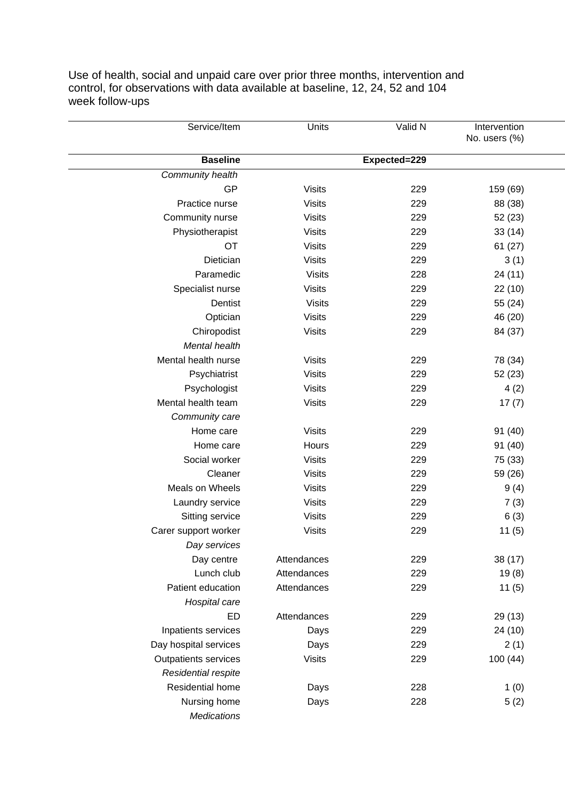Use of health, social and unpaid care over prior three months, intervention and control, for observations with data available at baseline, 12, 24, 52 and 104 week follow-ups

| Service/Item                | Units         | Valid N      | Intervention  |  |
|-----------------------------|---------------|--------------|---------------|--|
|                             |               |              | No. users (%) |  |
| <b>Baseline</b>             |               | Expected=229 |               |  |
| Community health            |               |              |               |  |
| GP                          | <b>Visits</b> | 229          | 159 (69)      |  |
| Practice nurse              | <b>Visits</b> | 229          | 88 (38)       |  |
| Community nurse             | <b>Visits</b> | 229          | 52(23)        |  |
| Physiotherapist             | <b>Visits</b> | 229          | 33(14)        |  |
| <b>OT</b>                   | <b>Visits</b> | 229          | 61(27)        |  |
| Dietician                   | <b>Visits</b> | 229          | 3(1)          |  |
| Paramedic                   | <b>Visits</b> | 228          | 24 (11)       |  |
| Specialist nurse            | <b>Visits</b> | 229          | 22 (10)       |  |
| Dentist                     | <b>Visits</b> | 229          | 55 (24)       |  |
| Optician                    | <b>Visits</b> | 229          | 46 (20)       |  |
| Chiropodist                 | <b>Visits</b> | 229          | 84 (37)       |  |
| Mental health               |               |              |               |  |
| Mental health nurse         | <b>Visits</b> | 229          | 78 (34)       |  |
| Psychiatrist                | <b>Visits</b> | 229          | 52 (23)       |  |
| Psychologist                | <b>Visits</b> | 229          | 4(2)          |  |
| Mental health team          | <b>Visits</b> | 229          | 17(7)         |  |
| Community care              |               |              |               |  |
| Home care                   | <b>Visits</b> | 229          | 91 (40)       |  |
| Home care                   | Hours         | 229          | 91 (40)       |  |
| Social worker               | <b>Visits</b> | 229          | 75 (33)       |  |
| Cleaner                     | <b>Visits</b> | 229          | 59 (26)       |  |
| Meals on Wheels             | <b>Visits</b> | 229          | 9(4)          |  |
| Laundry service             | <b>Visits</b> | 229          | 7(3)          |  |
| Sitting service             | <b>Visits</b> | 229          | 6(3)          |  |
| Carer support worker        | <b>Visits</b> | 229          | 11(5)         |  |
| Day services                |               |              |               |  |
| Day centre                  | Attendances   | 229          | 38 (17)       |  |
| Lunch club                  | Attendances   | 229          | 19(8)         |  |
| Patient education           | Attendances   | 229          | 11(5)         |  |
| Hospital care               |               |              |               |  |
| ED                          | Attendances   | 229          | 29 (13)       |  |
| Inpatients services         | Days          | 229          | 24 (10)       |  |
| Day hospital services       | Days          | 229          | 2(1)          |  |
| <b>Outpatients services</b> | <b>Visits</b> | 229          | 100(44)       |  |
| Residential respite         |               |              |               |  |
| Residential home            | Days          | 228          | 1(0)          |  |
| Nursing home                | Days          | 228          | 5(2)          |  |
| <b>Medications</b>          |               |              |               |  |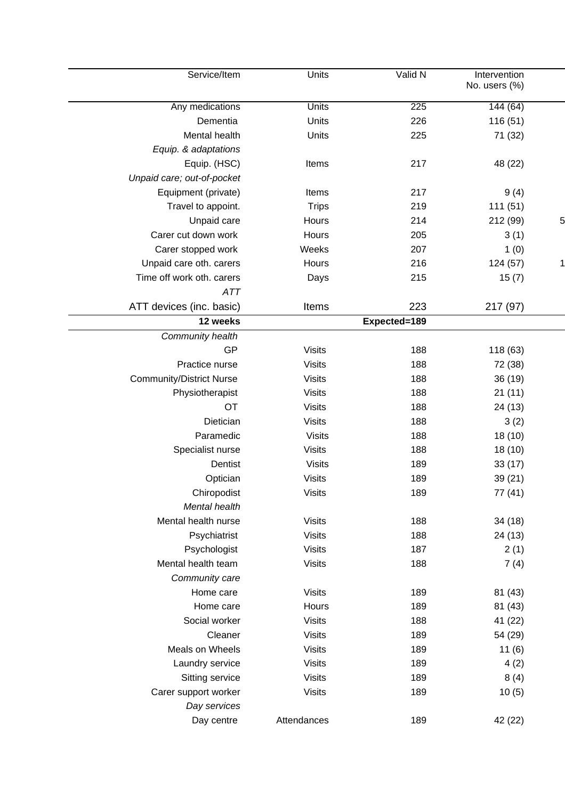| Service/Item                    | Units         | Valid N      | Intervention<br>No. users (%) |    |
|---------------------------------|---------------|--------------|-------------------------------|----|
| Any medications                 | <b>Units</b>  | 225          | 144(64)                       |    |
| Dementia                        | Units         | 226          | 116 (51)                      |    |
| Mental health                   | Units         | 225          | 71 (32)                       |    |
| Equip. & adaptations            |               |              |                               |    |
| Equip. (HSC)                    | Items         | 217          | 48 (22)                       |    |
| Unpaid care; out-of-pocket      |               |              |                               |    |
| Equipment (private)             | Items         | 217          | 9(4)                          |    |
| Travel to appoint.              | <b>Trips</b>  | 219          | 111(51)                       |    |
| Unpaid care                     | Hours         | 214          | 212 (99)                      | 5  |
| Carer cut down work             | Hours         | 205          | 3(1)                          |    |
| Carer stopped work              | Weeks         | 207          | 1(0)                          |    |
| Unpaid care oth. carers         | Hours         | 216          | 124 (57)                      | 11 |
| Time off work oth. carers       | Days          | 215          | 15(7)                         |    |
| <b>ATT</b>                      |               |              |                               |    |
| ATT devices (inc. basic)        | Items         | 223          | 217 (97)                      |    |
| 12 weeks                        |               | Expected=189 |                               |    |
| Community health                |               |              |                               |    |
| GP                              | <b>Visits</b> | 188          | 118 (63)                      |    |
| Practice nurse                  | <b>Visits</b> | 188          | 72 (38)                       |    |
| <b>Community/District Nurse</b> | <b>Visits</b> | 188          | 36 (19)                       |    |
| Physiotherapist                 | <b>Visits</b> | 188          | 21(11)                        |    |
| <b>OT</b>                       | <b>Visits</b> | 188          | 24 (13)                       |    |
| Dietician                       | <b>Visits</b> | 188          | 3(2)                          |    |
| Paramedic                       | <b>Visits</b> | 188          | 18 (10)                       |    |
| Specialist nurse                | <b>Visits</b> | 188          | 18 (10)                       |    |
| Dentist                         | <b>Visits</b> | 189          | 33(17)                        |    |
| Optician                        | <b>Visits</b> | 189          | 39 (21)                       |    |
| Chiropodist                     | <b>Visits</b> | 189          | 77 (41)                       |    |
| Mental health                   |               |              |                               |    |
| Mental health nurse             | <b>Visits</b> | 188          | 34 (18)                       |    |
| Psychiatrist                    | <b>Visits</b> | 188          | 24 (13)                       |    |
| Psychologist                    | <b>Visits</b> | 187          | 2(1)                          |    |
| Mental health team              | <b>Visits</b> | 188          | 7(4)                          |    |
| Community care                  |               |              |                               |    |
| Home care                       | <b>Visits</b> | 189          | 81 (43)                       |    |
| Home care                       | Hours         | 189          | 81 (43)                       |    |
| Social worker                   | <b>Visits</b> | 188          | 41 (22)                       |    |
| Cleaner                         | <b>Visits</b> | 189          | 54 (29)                       |    |
| Meals on Wheels                 | <b>Visits</b> | 189          | 11(6)                         |    |
| Laundry service                 | <b>Visits</b> | 189          | 4(2)                          |    |
| Sitting service                 | <b>Visits</b> | 189          | 8(4)                          |    |
| Carer support worker            | <b>Visits</b> | 189          | 10(5)                         |    |
| Day services                    |               |              |                               |    |
| Day centre                      | Attendances   | 189          | 42 (22)                       |    |
|                                 |               |              |                               |    |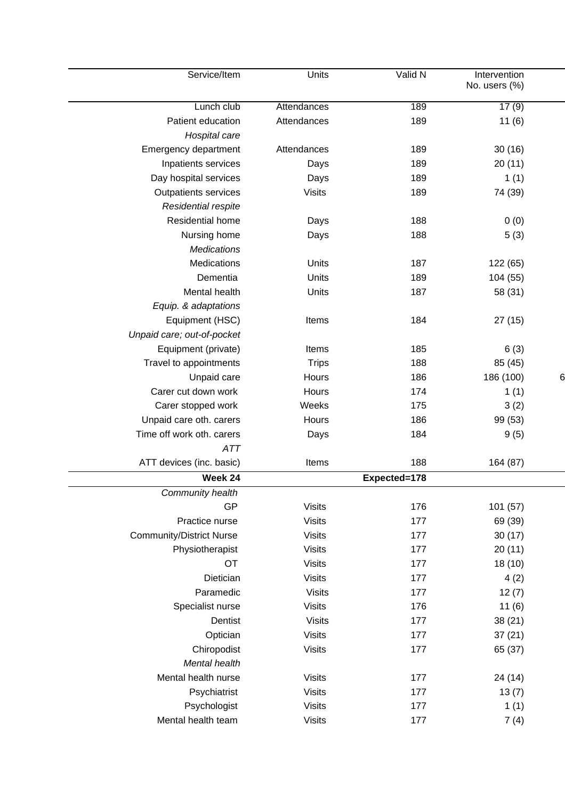|   | Intervention<br>No. users (%) | Valid N      | Units         | Service/Item                    |
|---|-------------------------------|--------------|---------------|---------------------------------|
|   | 17(9)                         | 189          | Attendances   | Lunch club                      |
|   | 11(6)                         | 189          | Attendances   | Patient education               |
|   |                               |              |               | Hospital care                   |
|   | 30(16)                        | 189          | Attendances   | Emergency department            |
|   | 20(11)                        | 189          | Days          | Inpatients services             |
|   | 1(1)                          | 189          | Days          | Day hospital services           |
|   | 74 (39)                       | 189          | <b>Visits</b> | <b>Outpatients services</b>     |
|   |                               |              |               | Residential respite             |
|   | 0(0)                          | 188          | Days          | Residential home                |
|   | 5(3)                          | 188          | Days          | Nursing home                    |
|   |                               |              |               | <b>Medications</b>              |
|   | 122 (65)                      | 187          | Units         | Medications                     |
|   | 104 (55)                      | 189          | Units         | Dementia                        |
|   | 58 (31)                       | 187          | Units         | Mental health                   |
|   |                               |              |               | Equip. & adaptations            |
|   | 27(15)                        | 184          | Items         | Equipment (HSC)                 |
|   |                               |              |               | Unpaid care; out-of-pocket      |
|   | 6(3)                          | 185          | Items         | Equipment (private)             |
|   | 85 (45)                       | 188          | <b>Trips</b>  | Travel to appointments          |
| 6 | 186 (100)                     | 186          | Hours         | Unpaid care                     |
|   | 1(1)                          | 174          | Hours         | Carer cut down work             |
|   | 3(2)                          | 175          | Weeks         | Carer stopped work              |
|   | 99 (53)                       | 186          | Hours         | Unpaid care oth. carers         |
|   | 9(5)                          | 184          | Days          | Time off work oth, carers       |
|   |                               |              |               | <b>ATT</b>                      |
|   | 164 (87)                      | 188          | Items         | ATT devices (inc. basic)        |
|   |                               | Expected=178 |               | Week 24                         |
|   |                               |              |               | Community health                |
|   | 101 (57)                      | 176          | <b>Visits</b> | GP                              |
|   | 69 (39)                       | 177          | <b>Visits</b> | Practice nurse                  |
|   | 30(17)                        | 177          | <b>Visits</b> | <b>Community/District Nurse</b> |
|   | 20(11)                        | 177          | <b>Visits</b> | Physiotherapist                 |
|   | 18(10)                        | 177          | <b>Visits</b> | OT                              |
|   | 4(2)                          | 177          | <b>Visits</b> | Dietician                       |
|   | 12(7)                         | 177          | <b>Visits</b> | Paramedic                       |
|   | 11(6)                         | 176          | <b>Visits</b> | Specialist nurse                |
|   | 38(21)                        | 177          | <b>Visits</b> | Dentist                         |
|   | 37(21)                        | 177          | <b>Visits</b> | Optician                        |
|   | 65 (37)                       | 177          | <b>Visits</b> | Chiropodist                     |
|   |                               |              |               | Mental health                   |
|   | 24 (14)                       | 177          | <b>Visits</b> | Mental health nurse             |
|   | 13(7)                         | 177          | <b>Visits</b> | Psychiatrist                    |
|   | 1(1)                          | 177          | <b>Visits</b> | Psychologist                    |
|   | 7(4)                          | 177          | <b>Visits</b> | Mental health team              |
|   |                               |              |               |                                 |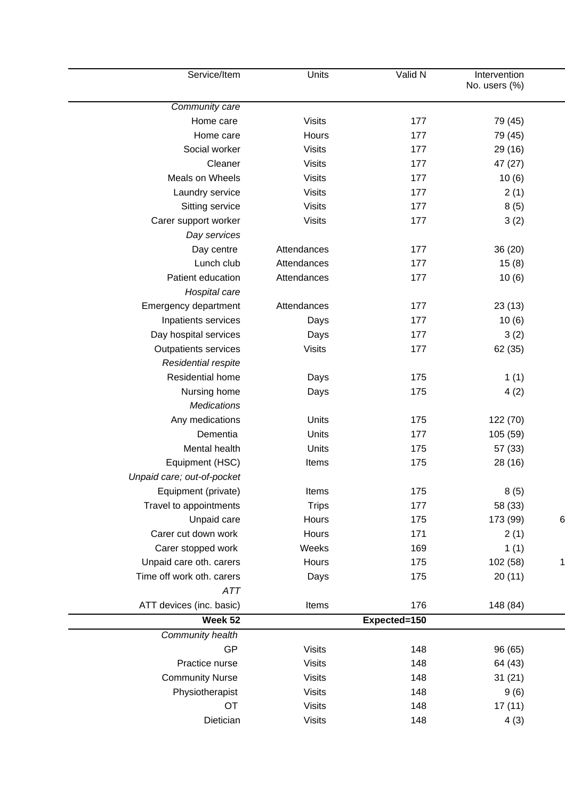| Service/Item                | Units         | Valid N      | Intervention<br>No. users (%) |              |
|-----------------------------|---------------|--------------|-------------------------------|--------------|
| Community care              |               |              |                               |              |
| Home care                   | <b>Visits</b> | 177          | 79 (45)                       |              |
| Home care                   | Hours         | 177          | 79 (45)                       |              |
| Social worker               | <b>Visits</b> | 177          | 29 (16)                       |              |
| Cleaner                     | <b>Visits</b> | 177          | 47 (27)                       |              |
| Meals on Wheels             | <b>Visits</b> | 177          | 10(6)                         |              |
| Laundry service             | <b>Visits</b> | 177          | 2(1)                          |              |
| Sitting service             | <b>Visits</b> | 177          | 8(5)                          |              |
| Carer support worker        | <b>Visits</b> | 177          | 3(2)                          |              |
| Day services                |               |              |                               |              |
| Day centre                  | Attendances   | 177          | 36(20)                        |              |
| Lunch club                  | Attendances   | 177          | 15(8)                         |              |
| Patient education           | Attendances   | 177          | 10(6)                         |              |
| Hospital care               |               |              |                               |              |
| Emergency department        | Attendances   | 177          | 23(13)                        |              |
| Inpatients services         | Days          | 177          | 10(6)                         |              |
| Day hospital services       | Days          | 177          | 3(2)                          |              |
| <b>Outpatients services</b> | <b>Visits</b> | 177          | 62 (35)                       |              |
| Residential respite         |               |              |                               |              |
| Residential home            | Days          | 175          | 1(1)                          |              |
| Nursing home                | Days          | 175          | 4(2)                          |              |
| <b>Medications</b>          |               |              |                               |              |
| Any medications             | Units         | 175          | 122 (70)                      |              |
| Dementia                    | Units         | 177          | 105 (59)                      |              |
| Mental health               | Units         | 175          | 57 (33)                       |              |
| Equipment (HSC)             | Items         | 175          | 28 (16)                       |              |
| Unpaid care; out-of-pocket  |               |              |                               |              |
| Equipment (private)         | Items         | 175          | 8(5)                          |              |
| Travel to appointments      | <b>Trips</b>  | 177          | 58 (33)                       |              |
| Unpaid care                 | Hours         | 175          | 173 (99)                      | 6            |
| Carer cut down work         | Hours         | 171          | 2(1)                          |              |
| Carer stopped work          | Weeks         | 169          | 1(1)                          |              |
| Unpaid care oth. carers     | Hours         | 175          | 102 (58)                      | $\mathbf{1}$ |
| Time off work oth. carers   | Days          | 175          | 20(11)                        |              |
| ATT                         |               |              |                               |              |
| ATT devices (inc. basic)    | Items         | 176          | 148 (84)                      |              |
| Week 52                     |               | Expected=150 |                               |              |
| Community health            |               |              |                               |              |
| GP                          | <b>Visits</b> | 148          | 96 (65)                       |              |
| Practice nurse              | <b>Visits</b> | 148          | 64 (43)                       |              |
| <b>Community Nurse</b>      | <b>Visits</b> | 148          | 31(21)                        |              |
| Physiotherapist             | <b>Visits</b> | 148          | 9(6)                          |              |
| OT                          | <b>Visits</b> | 148          | 17(11)                        |              |
|                             |               | 148          |                               |              |
| Dietician                   | <b>Visits</b> |              | 4(3)                          |              |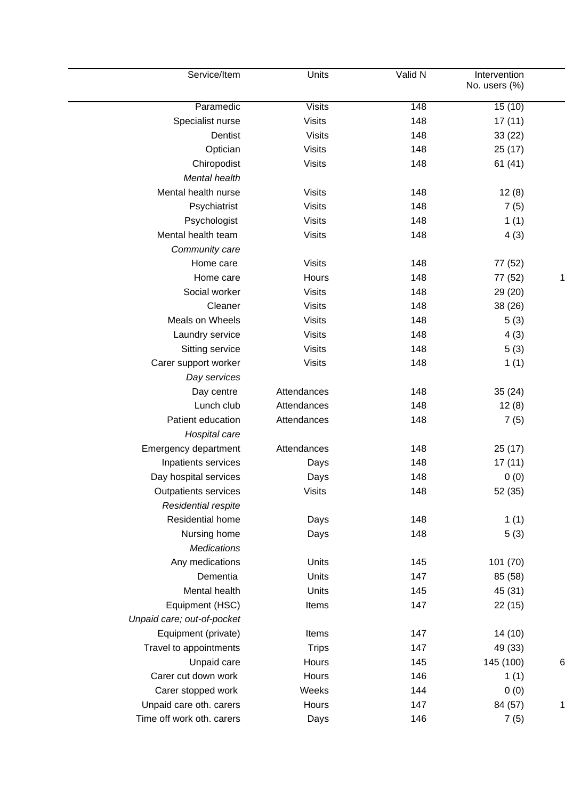| Service/Item               | Units         | Valid N | Intervention<br>No. users (%) |   |
|----------------------------|---------------|---------|-------------------------------|---|
|                            |               |         |                               |   |
| Paramedic                  | <b>Visits</b> | 148     | 15(10)                        |   |
| Specialist nurse           | <b>Visits</b> | 148     | 17(11)                        |   |
| Dentist                    | <b>Visits</b> | 148     | 33(22)                        |   |
| Optician                   | <b>Visits</b> | 148     | 25(17)                        |   |
| Chiropodist                | <b>Visits</b> | 148     | 61(41)                        |   |
| Mental health              |               |         |                               |   |
| Mental health nurse        | <b>Visits</b> | 148     | 12(8)                         |   |
| Psychiatrist               | <b>Visits</b> | 148     | 7(5)                          |   |
| Psychologist               | <b>Visits</b> | 148     | 1(1)                          |   |
| Mental health team         | <b>Visits</b> | 148     | 4(3)                          |   |
| Community care             |               |         |                               |   |
| Home care                  | <b>Visits</b> | 148     | 77 (52)                       |   |
| Home care                  | Hours         | 148     | 77 (52)                       | 1 |
| Social worker              | <b>Visits</b> | 148     | 29 (20)                       |   |
| Cleaner                    | <b>Visits</b> | 148     | 38 (26)                       |   |
| Meals on Wheels            | <b>Visits</b> | 148     | 5(3)                          |   |
| Laundry service            | <b>Visits</b> | 148     | 4(3)                          |   |
| Sitting service            | <b>Visits</b> | 148     | 5(3)                          |   |
| Carer support worker       | <b>Visits</b> | 148     | 1(1)                          |   |
| Day services               |               |         |                               |   |
| Day centre                 | Attendances   | 148     | 35(24)                        |   |
| Lunch club                 | Attendances   | 148     | 12(8)                         |   |
| Patient education          | Attendances   | 148     | 7(5)                          |   |
| Hospital care              |               |         |                               |   |
| Emergency department       | Attendances   | 148     | 25(17)                        |   |
| Inpatients services        | Days          | 148     | 17(11)                        |   |
| Day hospital services      | Days          | 148     | 0(0)                          |   |
| Outpatients services       | <b>Visits</b> | 148     | 52 (35)                       |   |
| Residential respite        |               |         |                               |   |
| Residential home           | Days          | 148     | 1(1)                          |   |
| Nursing home               |               | 148     | 5(3)                          |   |
| <b>Medications</b>         | Days          |         |                               |   |
| Any medications            |               |         |                               |   |
|                            | Units         | 145     | 101 (70)                      |   |
| Dementia                   | Units         | 147     | 85 (58)                       |   |
| Mental health              | Units         | 145     | 45 (31)                       |   |
| Equipment (HSC)            | Items         | 147     | 22(15)                        |   |
| Unpaid care; out-of-pocket |               |         |                               |   |
| Equipment (private)        | Items         | 147     | 14 (10)                       |   |
| Travel to appointments     | <b>Trips</b>  | 147     | 49 (33)                       |   |
| Unpaid care                | Hours         | 145     | 145 (100)                     | 6 |
| Carer cut down work        | Hours         | 146     | 1(1)                          |   |
| Carer stopped work         | Weeks         | 144     | 0(0)                          |   |
| Unpaid care oth. carers    | Hours         | 147     | 84 (57)                       | 1 |
| Time off work oth. carers  | Days          | 146     | 7(5)                          |   |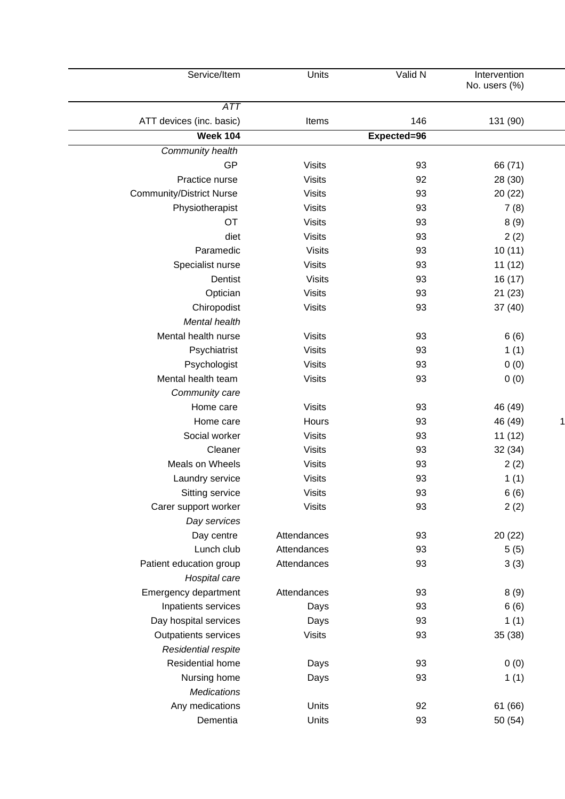| Service/Item                    | Units         | Valid N     | Intervention<br>No. users (%) |  |
|---------------------------------|---------------|-------------|-------------------------------|--|
| ATT                             |               |             |                               |  |
| ATT devices (inc. basic)        | Items         | 146         | 131 (90)                      |  |
| <b>Week 104</b>                 |               | Expected=96 |                               |  |
| Community health                |               |             |                               |  |
| GP                              | <b>Visits</b> | 93          | 66 (71)                       |  |
| Practice nurse                  | <b>Visits</b> | 92          | 28 (30)                       |  |
| <b>Community/District Nurse</b> | <b>Visits</b> | 93          | 20(22)                        |  |
| Physiotherapist                 | <b>Visits</b> | 93          | 7(8)                          |  |
| OT                              | <b>Visits</b> | 93          | 8(9)                          |  |
| diet                            | <b>Visits</b> | 93          | 2(2)                          |  |
| Paramedic                       | <b>Visits</b> | 93          | 10(11)                        |  |
| Specialist nurse                | <b>Visits</b> | 93          | 11(12)                        |  |
| Dentist                         | <b>Visits</b> | 93          | 16(17)                        |  |
| Optician                        | <b>Visits</b> | 93          | 21(23)                        |  |
| Chiropodist                     | <b>Visits</b> | 93          | 37(40)                        |  |
| Mental health                   |               |             |                               |  |
| Mental health nurse             | <b>Visits</b> | 93          | 6(6)                          |  |
| Psychiatrist                    | <b>Visits</b> | 93          | 1(1)                          |  |
| Psychologist                    | <b>Visits</b> | 93          | 0(0)                          |  |
| Mental health team              | <b>Visits</b> | 93          | 0(0)                          |  |
| Community care                  |               |             |                               |  |
| Home care                       | <b>Visits</b> | 93          | 46 (49)                       |  |
| Home care                       | Hours         | 93          | 46 (49)                       |  |
| Social worker                   | <b>Visits</b> | 93          | 11(12)                        |  |
| Cleaner                         | <b>Visits</b> | 93          | 32(34)                        |  |
| Meals on Wheels                 | <b>Visits</b> | 93          | 2(2)                          |  |
| Laundry service                 | <b>Visits</b> | 93          | 1(1)                          |  |
| Sitting service                 | <b>Visits</b> | 93          | 6(6)                          |  |
| Carer support worker            | <b>Visits</b> | 93          | 2(2)                          |  |
| Day services                    |               |             |                               |  |
| Day centre                      | Attendances   | 93          | 20(22)                        |  |
| Lunch club                      | Attendances   | 93          | 5(5)                          |  |
| Patient education group         | Attendances   | 93          | 3(3)                          |  |
| Hospital care                   |               |             |                               |  |
| Emergency department            | Attendances   | 93          | 8(9)                          |  |
| Inpatients services             | Days          | 93          | 6(6)                          |  |
| Day hospital services           | Days          | 93          | 1(1)                          |  |
| Outpatients services            | <b>Visits</b> | 93          | 35 (38)                       |  |
| Residential respite             |               |             |                               |  |
| Residential home                | Days          | 93          | 0(0)                          |  |
| Nursing home                    | Days          | 93          | 1(1)                          |  |
| <b>Medications</b>              |               |             |                               |  |
| Any medications                 | Units         | 92          | 61 (66)                       |  |
| Dementia                        | Units         | 93          | 50 (54)                       |  |
|                                 |               |             |                               |  |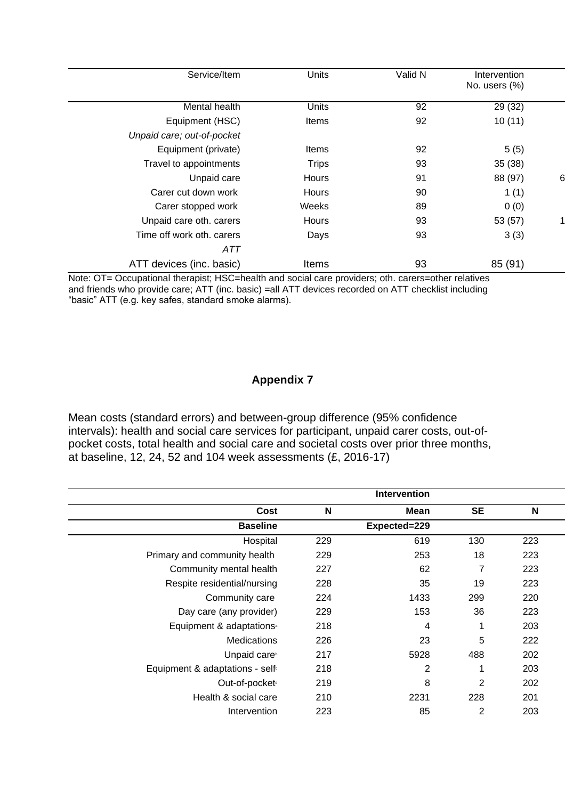|   | Intervention  | Valid N | <b>Units</b> | Service/Item               |
|---|---------------|---------|--------------|----------------------------|
|   | No. users (%) |         |              |                            |
|   |               |         |              |                            |
|   | 29 (32)       | 92      | Units        | Mental health              |
|   | 10(11)        | 92      | Items        | Equipment (HSC)            |
|   |               |         |              | Unpaid care; out-of-pocket |
|   | 5(5)          | 92      | Items        | Equipment (private)        |
|   | 35(38)        | 93      | <b>Trips</b> | Travel to appointments     |
| 6 | 88 (97)       | 91      | Hours        | Unpaid care                |
|   | 1(1)          | 90      | Hours        | Carer cut down work        |
|   | 0(0)          | 89      | Weeks        | Carer stopped work         |
|   | 53 (57)       | 93      | Hours        | Unpaid care oth. carers    |
|   | 3(3)          | 93      | Days         | Time off work oth. carers  |
|   |               |         |              | ATT                        |
|   | 85 (91)       | 93      | Items        | ATT devices (inc. basic)   |
|   |               |         |              |                            |

Note: OT= Occupational therapist; HSC=health and social care providers; oth. carers=other relatives and friends who provide care; ATT (inc. basic) =all ATT devices recorded on ATT checklist including "basic" ATT (e.g. key safes, standard smoke alarms).

# **Appendix 7**

Mean costs (standard errors) and between-group difference (95% confidence intervals): health and social care services for participant, unpaid carer costs, out-ofpocket costs, total health and social care and societal costs over prior three months, at baseline, 12, 24, 52 and 104 week assessments (£, 2016-17)

|                                             |     | Intervention |                |     |
|---------------------------------------------|-----|--------------|----------------|-----|
| Cost                                        | N   | Mean         | <b>SE</b>      | N   |
| <b>Baseline</b>                             |     | Expected=229 |                |     |
| Hospital                                    | 229 | 619          | 130            | 223 |
| Primary and community health                | 229 | 253          | 18             | 223 |
| Community mental health                     | 227 | 62           | 7              | 223 |
| Respite residential/nursing                 | 228 | 35           | 19             | 223 |
| Community care                              | 224 | 1433         | 299            | 220 |
| Day care (any provider)                     | 229 | 153          | 36             | 223 |
| Equipment & adaptations <sup>a</sup>        | 218 | 4            | 1              | 203 |
| <b>Medications</b>                          | 226 | 23           | 5              | 222 |
| Unpaid care <sup>b</sup>                    | 217 | 5928         | 488            | 202 |
| Equipment & adaptations - self <sup>®</sup> | 218 | 2            | 1              | 203 |
| Out-of-pocket <sup>®</sup>                  | 219 | 8            | $\overline{2}$ | 202 |
| Health & social care                        | 210 | 2231         | 228            | 201 |
| Intervention                                | 223 | 85           | $\overline{2}$ | 203 |
|                                             |     |              |                |     |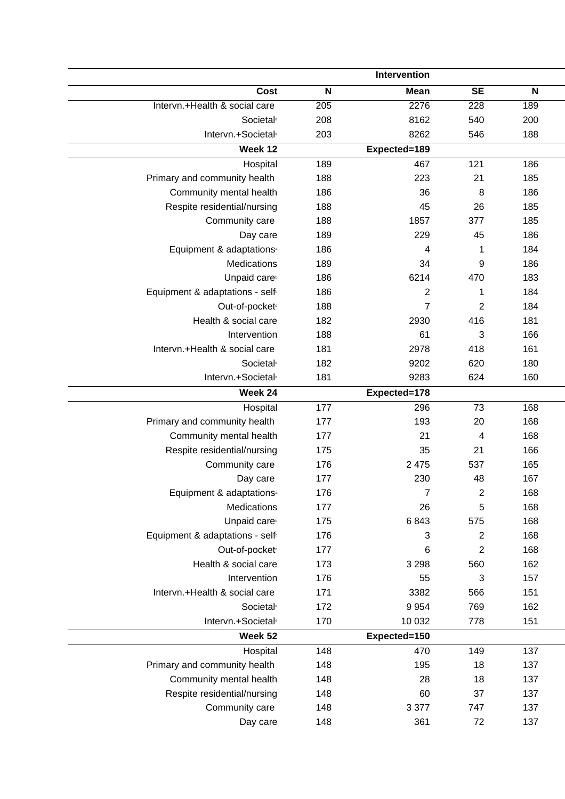|                                             |                  | Intervention     |                |              |
|---------------------------------------------|------------------|------------------|----------------|--------------|
| Cost                                        | N                | <b>Mean</b>      | <b>SE</b>      | $\mathsf{N}$ |
| Intervn.+Health & social care               | $\overline{205}$ | 2276             | 228            | 189          |
| Societal <sup>®</sup>                       | 208              | 8162             | 540            | 200          |
| Intervn.+Societal <sup>®</sup>              | 203              | 8262             | 546            | 188          |
| Week 12                                     |                  | Expected=189     |                |              |
| Hospital                                    | 189              | 467              | 121            | 186          |
| Primary and community health                | 188              | 223              | 21             | 185          |
| Community mental health                     | 186              | 36               | 8              | 186          |
| Respite residential/nursing                 | 188              | 45               | 26             | 185          |
| Community care                              | 188              | 1857             | 377            | 185          |
| Day care                                    | 189              | 229              | 45             | 186          |
| Equipment & adaptations <sup>®</sup>        | 186              | 4                | 1              | 184          |
| Medications                                 | 189              | 34               | 9              | 186          |
| Unpaid care <sup>b</sup>                    | 186              | 6214             | 470            | 183          |
| Equipment & adaptations - self <sup>®</sup> | 186              | $\overline{c}$   | 1              | 184          |
| Out-of-pocket <sup>®</sup>                  | 188              | $\overline{7}$   | $\overline{2}$ | 184          |
| Health & social care                        | 182              | 2930             | 416            | 181          |
| Intervention                                | 188              | 61               | 3              | 166          |
| Intervn.+Health & social care               | 181              | 2978             | 418            | 161          |
| <b>Societal</b> <sup>®</sup>                | 182              | 9202             | 620            | 180          |
| Intervn.+Societal <sup>®</sup>              | 181              | 9283             | 624            | 160          |
| Week 24                                     |                  | Expected=178     |                |              |
| Hospital                                    | 177              | 296              | 73             | 168          |
| Primary and community health                | 177              | 193              | 20             | 168          |
| Community mental health                     | 177              | 21               | 4              | 168          |
| Respite residential/nursing                 | 175              | 35               | 21             | 166          |
| Community care                              | 176              | 2 4 7 5          | 537            | 165          |
| Day care                                    | 177              | 230              | 48             | 167          |
| Equipment & adaptations <sup>®</sup>        | 176              | $\boldsymbol{7}$ | 2              | 168          |
| Medications                                 | 177              | 26               | 5              | 168          |
| Unpaid care <sup>b</sup>                    | 175              | 6843             | 575            | 168          |
| Equipment & adaptations - self <sup>®</sup> | 176              | 3                | $\overline{2}$ | 168          |
| Out-of-pocket <sup>d</sup>                  | 177              | 6                | $\overline{c}$ | 168          |
| Health & social care                        | 173              | 3 2 9 8          | 560            | 162          |
| Intervention                                | 176              | 55               | 3              | 157          |
| Intervn.+Health & social care               | 171              | 3382             | 566            | 151          |
| Societal <sup>®</sup>                       | 172              | 9 9 5 4          | 769            | 162          |
| Intervn.+Societal <sup>®</sup>              | 170              | 10 0 32          | 778            | 151          |
| Week 52                                     |                  | Expected=150     |                |              |
| Hospital                                    | 148              | 470              | 149            | 137          |
| Primary and community health                | 148              | 195              | 18             | 137          |
| Community mental health                     | 148              | 28               | 18             | 137          |
| Respite residential/nursing                 | 148              | 60               | 37             | 137          |
| Community care                              | 148              | 3 3 7 7          | 747            | 137          |
| Day care                                    | 148              | 361              | 72             | 137          |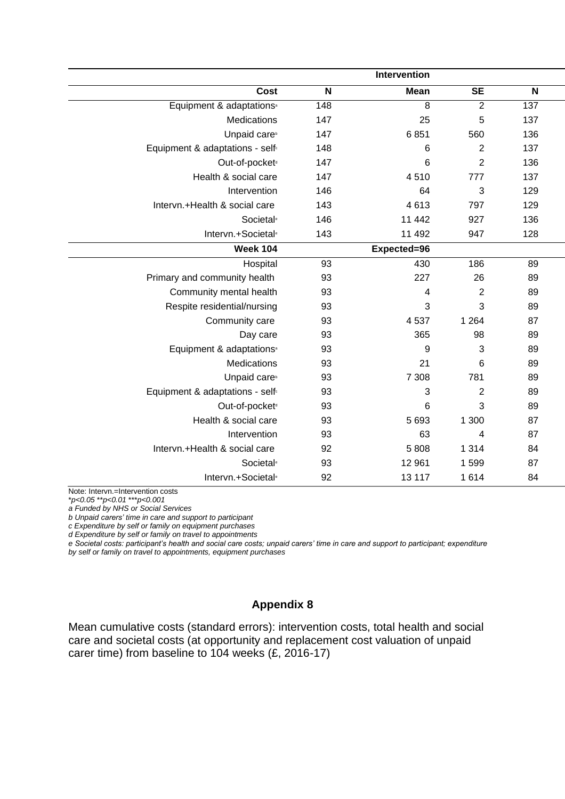|                                             |                           | Intervention    |                |     |
|---------------------------------------------|---------------------------|-----------------|----------------|-----|
| Cost                                        | $\boldsymbol{\mathsf{N}}$ | <b>Mean</b>     | <b>SE</b>      | N   |
| Equipment & adaptations <sup>®</sup>        | 148                       | $\overline{8}$  | $\overline{2}$ | 137 |
| Medications                                 | 147                       | 25              | 5              | 137 |
| Unpaid care <sup>b</sup>                    | 147                       | 6851            | 560            | 136 |
| Equipment & adaptations - self <sup>®</sup> | 148                       | $6\phantom{1}6$ | $\overline{c}$ | 137 |
| Out-of-pocket <sup>®</sup>                  | 147                       | $6\phantom{1}6$ | $\overline{2}$ | 136 |
| Health & social care                        | 147                       | 4510            | 777            | 137 |
| Intervention                                | 146                       | 64              | 3              | 129 |
| Intervn.+Health & social care               | 143                       | 4613            | 797            | 129 |
| Societal <sup>®</sup>                       | 146                       | 11 442          | 927            | 136 |
| Intervn.+Societal <sup>®</sup>              | 143                       | 11 492          | 947            | 128 |
| <b>Week 104</b>                             |                           | Expected=96     |                |     |
| Hospital                                    | 93                        | 430             | 186            | 89  |
| Primary and community health                | 93                        | 227             | 26             | 89  |
| Community mental health                     | 93                        | 4               | $\overline{2}$ | 89  |
| Respite residential/nursing                 | 93                        | 3               | 3              | 89  |
| Community care                              | 93                        | 4537            | 1 2 6 4        | 87  |
| Day care                                    | 93                        | 365             | 98             | 89  |
| Equipment & adaptations <sup>a</sup>        | 93                        | 9               | 3              | 89  |
| Medications                                 | 93                        | 21              | 6              | 89  |
| Unpaid care <sup>b</sup>                    | 93                        | 7 3 0 8         | 781            | 89  |
| Equipment & adaptations - self <sup>®</sup> | 93                        | 3               | $\overline{2}$ | 89  |
| Out-of-pocket <sup>d</sup>                  | 93                        | 6               | 3              | 89  |
| Health & social care                        | 93                        | 5 6 9 3         | 1 300          | 87  |
| Intervention                                | 93                        | 63              | 4              | 87  |
| Intervn.+Health & social care               | 92                        | 5808            | 1 3 1 4        | 84  |
| Societal <sup>®</sup>                       | 93                        | 12 961          | 1599           | 87  |
| Intervn.+Societal <sup>®</sup>              | 92                        | 13 117          | 1614           | 84  |

Note: Intervn.=Intervention costs

\**p<0.05* \*\**p<0.01* \*\*\**p<0.001*

*a Funded by NHS or Social Services*

*b Unpaid carers' time in care and support to participant*

*c Expenditure by self or family on equipment purchases*

*d Expenditure by self or family on travel to appointments*

*e Societal costs: participant's health and social care costs; unpaid carers' time in care and support to participant; expenditure by self or family on travel to appointments, equipment purchases*

# **Appendix 8**

Mean cumulative costs (standard errors): intervention costs, total health and social care and societal costs (at opportunity and replacement cost valuation of unpaid carer time) from baseline to 104 weeks (£, 2016-17)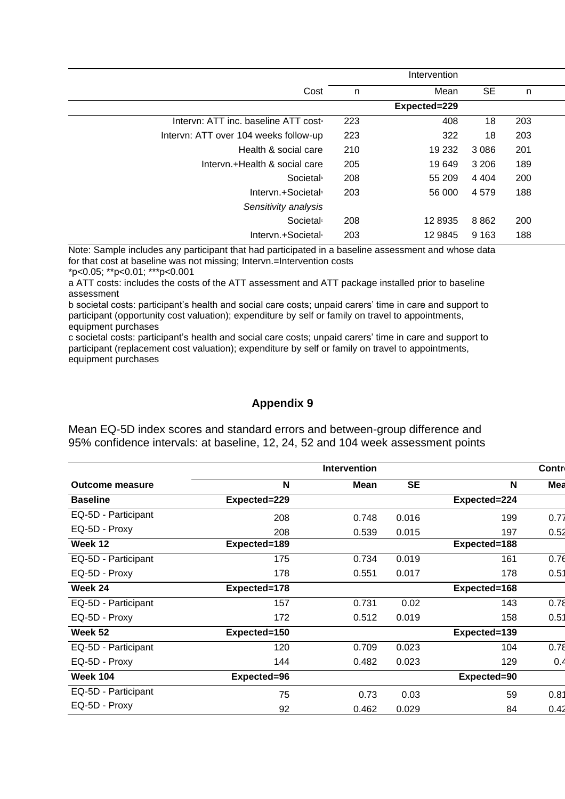|                                                  |     | Intervention |           |     |
|--------------------------------------------------|-----|--------------|-----------|-----|
| Cost                                             | n   | Mean         | <b>SE</b> | n   |
|                                                  |     | Expected=229 |           |     |
| Intervn: ATT inc. baseline ATT cost <sup>®</sup> | 223 | 408          | 18        | 203 |
| Intervn: ATT over 104 weeks follow-up            | 223 | 322          | 18        | 203 |
| Health & social care                             | 210 | 19 232       | 3 0 8 6   | 201 |
| Intervn.+Health & social care                    | 205 | 19 649       | 3 2 0 6   | 189 |
| Societal <sup>b</sup>                            | 208 | 55 209       | 4 4 0 4   | 200 |
| Intervn.+Societal <sup>®</sup>                   | 203 | 56 000       | 4579      | 188 |
| Sensitivity analysis                             |     |              |           |     |
| <b>Societal</b> <sup>®</sup>                     | 208 | 12 8935      | 8862      | 200 |
| Intervn.+Societal <sup>®</sup>                   | 203 | 12 9845      | 9 1 6 3   | 188 |

Note: Sample includes any participant that had participated in a baseline assessment and whose data for that cost at baseline was not missing; Intervn.=Intervention costs

\*p<0.05; \*\*p<0.01; \*\*\*p<0.001

a ATT costs: includes the costs of the ATT assessment and ATT package installed prior to baseline assessment

b societal costs: participant's health and social care costs; unpaid carers' time in care and support to participant (opportunity cost valuation); expenditure by self or family on travel to appointments, equipment purchases

c societal costs: participant's health and social care costs; unpaid carers' time in care and support to participant (replacement cost valuation); expenditure by self or family on travel to appointments, equipment purchases

## **Appendix 9**

Mean EQ-5D index scores and standard errors and between-group difference and 95% confidence intervals: at baseline, 12, 24, 52 and 104 week assessment points

|                        |              | <b>Intervention</b> |           |              | <b>Contro</b> |
|------------------------|--------------|---------------------|-----------|--------------|---------------|
| <b>Outcome measure</b> | N            | <b>Mean</b>         | <b>SE</b> | N            | Mea           |
| <b>Baseline</b>        | Expected=229 |                     |           | Expected=224 |               |
| EQ-5D - Participant    | 208          | 0.748               | 0.016     | 199          | 0.77          |
| EQ-5D - Proxy          | 208          | 0.539               | 0.015     | 197          | 0.52          |
| Week 12                | Expected=189 |                     |           | Expected=188 |               |
| EQ-5D - Participant    | 175          | 0.734               | 0.019     | 161          | 0.76          |
| EQ-5D - Proxy          | 178          | 0.551               | 0.017     | 178          | 0.51          |
| Week 24                | Expected=178 |                     |           | Expected=168 |               |
| EQ-5D - Participant    | 157          | 0.731               | 0.02      | 143          | 0.78          |
| EQ-5D - Proxy          | 172          | 0.512               | 0.019     | 158          | 0.51          |
| Week 52                | Expected=150 |                     |           | Expected=139 |               |
| EQ-5D - Participant    | 120          | 0.709               | 0.023     | 104          | 0.78          |
| EQ-5D - Proxy          | 144          | 0.482               | 0.023     | 129          | 0.4           |
| <b>Week 104</b>        | Expected=96  |                     |           | Expected=90  |               |
| EQ-5D - Participant    | 75           | 0.73                | 0.03      | 59           | 0.81          |
| EQ-5D - Proxy          | 92           | 0.462               | 0.029     | 84           | 0.42          |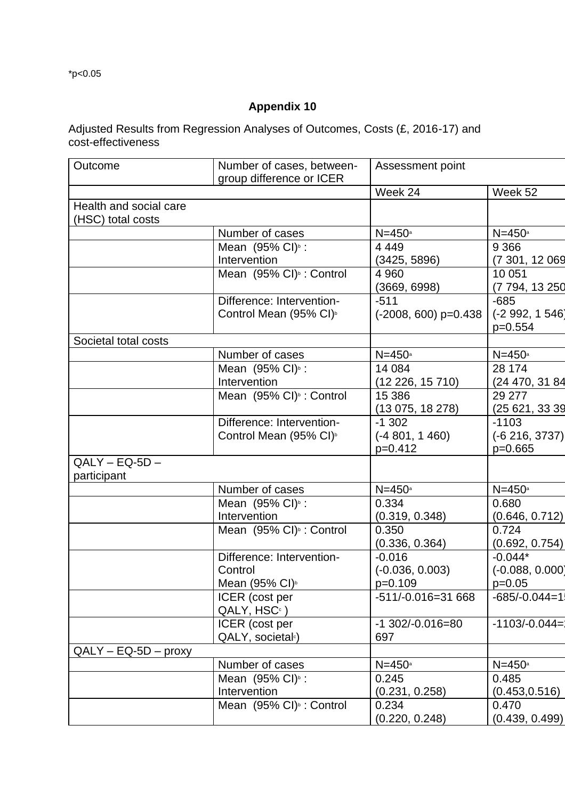$*p<0.05$ 

# **Appendix 10**

Adjusted Results from Regression Analyses of Outcomes, Costs (£, 2016-17) and cost-effectiveness

| Outcome                | Number of cases, between-<br>group difference or ICER | Assessment point              |                               |
|------------------------|-------------------------------------------------------|-------------------------------|-------------------------------|
|                        |                                                       | Week 24                       | Week 52                       |
| Health and social care |                                                       |                               |                               |
| (HSC) total costs      |                                                       |                               |                               |
|                        | Number of cases                                       | $N=450$ a                     | $N=450$ a                     |
|                        | Mean (95% CI) <sup>b</sup> :                          | 4 4 4 9                       | 9 3 6 6                       |
|                        | Intervention                                          | (3425, 5896)                  | (7 301, 12 069                |
|                        | Mean (95% CI) <sup>b</sup> : Control                  | 4 9 6 0                       | 10 051                        |
|                        |                                                       | (3669, 6998)                  | (7 794, 13 250                |
|                        | Difference: Intervention-                             | $-511$                        | $-685$                        |
|                        | Control Mean (95% CI) <sup>b</sup>                    | $(-2008, 600)$ p=0.438        | $(-2992, 1546)$               |
|                        |                                                       |                               | $p=0.554$                     |
| Societal total costs   |                                                       |                               |                               |
|                        | Number of cases                                       | $N=450$ a                     | $N=450$ a                     |
|                        | Mean $(95\% \text{ Cl})^5$ :                          | 14 084                        | 28 174                        |
|                        | Intervention                                          | (12 226, 15 710)              | (24 470, 31 84                |
|                        | Mean (95% CI) <sup>b</sup> : Control                  | 15 386                        | 29 277                        |
|                        |                                                       | (13 075, 18 278)              | (25621, 3339)                 |
|                        | Difference: Intervention-                             | $-1302$                       | $-1103$                       |
|                        | Control Mean (95% CI) <sup>b</sup>                    | $(-4801, 1460)$               | $(-6216, 3737)$               |
|                        |                                                       | $p=0.412$                     | $p=0.665$                     |
| $QALY - EQ-5D -$       |                                                       |                               |                               |
| participant            |                                                       |                               |                               |
|                        | Number of cases                                       | $N=450$ <sup>a</sup>          | $N=450$ a                     |
|                        | Mean (95% CI) <sup>b</sup> :                          | 0.334                         | 0.680                         |
|                        | Intervention                                          | (0.319, 0.348)                | (0.646, 0.712)                |
|                        | Mean (95% CI) <sup>b</sup> : Control                  | 0.350                         | 0.724                         |
|                        |                                                       | (0.336, 0.364)                | (0.692, 0.754)                |
|                        | Difference: Intervention-<br>Control                  | $-0.016$<br>$(-0.036, 0.003)$ | $-0.044*$                     |
|                        | Mean (95% CI) <sup>b</sup>                            | p=0.109                       | $(-0.088, 0.000)$<br>$p=0.05$ |
|                        | ICER (cost per                                        | $-511/-0.016=31668$           | $-685/-0.044=15$              |
|                        | QALY, HSC <sup>c</sup> )                              |                               |                               |
|                        | ICER (cost per                                        | $-1$ 302/ $-0.016 = 80$       | $-1103/-0.044=$               |
|                        | QALY, societal <sup>c</sup> )                         | 697                           |                               |
| $QALY - EQ-5D - proxy$ |                                                       |                               |                               |
|                        | Number of cases                                       | $N=450$ a                     | $N=450$ a                     |
|                        | Mean (95% CI) <sup>b</sup> :                          | 0.245                         | 0.485                         |
|                        | Intervention                                          | (0.231, 0.258)                | (0.453, 0.516)                |
|                        | Mean (95% CI) <sup>b</sup> : Control                  | 0.234                         | 0.470                         |
|                        |                                                       | (0.220, 0.248)                | (0.439, 0.499)                |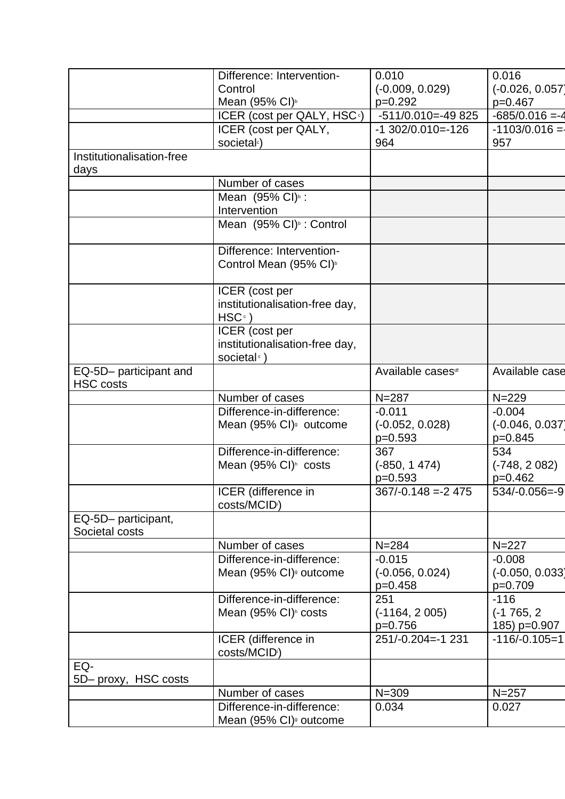|                           | Difference: Intervention-                        | 0.010                        | 0.016             |
|---------------------------|--------------------------------------------------|------------------------------|-------------------|
|                           | Control                                          | $(-0.009, 0.029)$            | $(-0.026, 0.057)$ |
|                           | Mean (95% CI) <sup>b</sup>                       | $p=0.292$                    | $p=0.467$         |
|                           | ICER (cost per QALY, HSC <sup>c</sup> )          | $-511/0.010 = -49825$        | $-685/0.016 = -4$ |
|                           | ICER (cost per QALY,                             | $-1$ 302/0.010 $=$ -126      | $-1103/0.016 =$   |
|                           | societal <sup>c</sup> )                          | 964                          | 957               |
| Institutionalisation-free |                                                  |                              |                   |
| days                      |                                                  |                              |                   |
|                           | Number of cases                                  |                              |                   |
|                           | Mean (95% CI) <sup>b</sup> :                     |                              |                   |
|                           | Intervention                                     |                              |                   |
|                           | Mean (95% CI) <sup>b</sup> : Control             |                              |                   |
|                           |                                                  |                              |                   |
|                           | Difference: Intervention-                        |                              |                   |
|                           | Control Mean (95% CI) <sup>b</sup>               |                              |                   |
|                           | ICER (cost per                                   |                              |                   |
|                           | institutionalisation-free day,                   |                              |                   |
|                           | $HSC^{\circ}$ )                                  |                              |                   |
|                           | ICER (cost per                                   |                              |                   |
|                           | institutionalisation-free day,                   |                              |                   |
|                           | societal <sup>®</sup> )                          |                              |                   |
| EQ-5D- participant and    |                                                  | Available cases <sup>®</sup> | Available case    |
| <b>HSC</b> costs          |                                                  |                              |                   |
|                           | Number of cases                                  | $N = 287$                    | $N = 229$         |
|                           | Difference-in-difference:                        | $-0.011$                     | $-0.004$          |
|                           | Mean (95% CI) <sup>9</sup> outcome               | $(-0.052, 0.028)$            | $(-0.046, 0.037)$ |
|                           |                                                  | $p=0.593$                    | $p=0.845$         |
|                           | Difference-in-difference:                        | 367                          | 534               |
|                           | Mean (95% CI) <sup>h</sup> costs                 | $(-850, 1474)$               | $(-748, 2082)$    |
|                           |                                                  | $p=0.593$                    | $p=0.462$         |
|                           | ICER (difference in<br>costs/MCID <sup>i</sup> ) | $367/-0.148 = -2475$         | $534/-0.056=-9$   |
| EQ-5D- participant,       |                                                  |                              |                   |
| Societal costs            |                                                  |                              |                   |
|                           | Number of cases                                  | $N = 284$                    | $N = 227$         |
|                           | Difference-in-difference:                        | $-0.015$                     | $-0.008$          |
|                           | Mean (95% CI) <sup>9</sup> outcome               | $(-0.056, 0.024)$            | $(-0.050, 0.033)$ |
|                           |                                                  | $p=0.458$                    | p=0.709           |
|                           | Difference-in-difference:                        | 251                          | $-116$            |
|                           | Mean (95% CI) <sup>h</sup> costs                 | $(-1164, 2005)$              | $(-1765, 2)$      |
|                           |                                                  | $p=0.756$                    | 185) p=0.907      |
|                           | ICER (difference in                              | 251/-0.204 =- 1231           | $-116/-0.105=1$   |
|                           | costs/MCID <sup>i</sup> )                        |                              |                   |
| EQ-                       |                                                  |                              |                   |
| 5D- proxy, HSC costs      |                                                  |                              |                   |
|                           | Number of cases                                  | $N = 309$                    | $N = 257$         |
|                           | Difference-in-difference:                        | 0.034                        | 0.027             |
|                           | Mean (95% CI) <sup>9</sup> outcome               |                              |                   |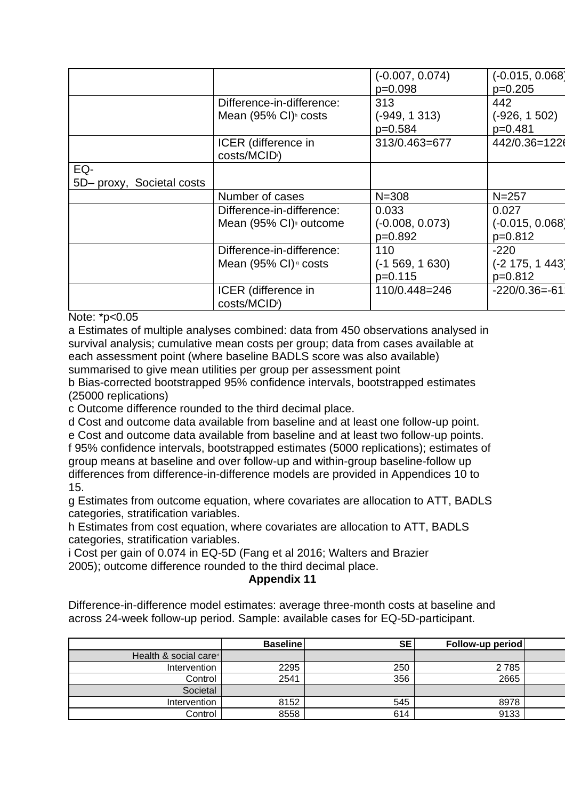|                           |                                             | $(-0.007, 0.074)$ | $(-0.015, 0.068)$ |
|---------------------------|---------------------------------------------|-------------------|-------------------|
|                           |                                             | p=0.098           | $p=0.205$         |
|                           | Difference-in-difference:                   | 313               | 442               |
|                           | Mean (95% CI) <sup>n</sup> costs            | $(-949, 1313)$    | $(-926, 1502)$    |
|                           |                                             | p=0.584           | $p=0.481$         |
|                           | ICER (difference in                         | 313/0.463=677     | 442/0.36=1226     |
|                           | costs/MCID <sup>i</sup> )                   |                   |                   |
| EQ-                       |                                             |                   |                   |
| 5D- proxy, Societal costs |                                             |                   |                   |
|                           | Number of cases                             | $N = 308$         | $N = 257$         |
|                           | Difference-in-difference:                   | 0.033             | 0.027             |
|                           | Mean (95% CI) <sup>9</sup> outcome          | $(-0.008, 0.073)$ | $(-0.015, 0.068)$ |
|                           |                                             | p=0.892           | $p=0.812$         |
|                           | Difference-in-difference:                   | 110               | $-220$            |
|                           | Mean $(95\% \text{ Cl})$ <sup>g</sup> costs | $(-1569, 1630)$   | $(-2 175, 1 443)$ |
|                           |                                             | $p=0.115$         | $p=0.812$         |
|                           | ICER (difference in                         | 110/0.448=246     | $-220/0.36 = -61$ |
|                           | costs/MCID <sup>i</sup> )                   |                   |                   |

Note: \*p<0.05

a Estimates of multiple analyses combined: data from 450 observations analysed in survival analysis; cumulative mean costs per group; data from cases available at each assessment point (where baseline BADLS score was also available) summarised to give mean utilities per group per assessment point

b Bias-corrected bootstrapped 95% confidence intervals, bootstrapped estimates (25000 replications)

c Outcome difference rounded to the third decimal place.

d Cost and outcome data available from baseline and at least one follow-up point. e Cost and outcome data available from baseline and at least two follow-up points. f 95% confidence intervals, bootstrapped estimates (5000 replications); estimates of group means at baseline and over follow-up and within-group baseline-follow up differences from difference-in-difference models are provided in Appendices 10 to 15.

g Estimates from outcome equation, where covariates are allocation to ATT, BADLS categories, stratification variables.

h Estimates from cost equation, where covariates are allocation to ATT, BADLS categories, stratification variables.

i Cost per gain of 0.074 in EQ-5D (Fang et al 2016; Walters and Brazier 2005); outcome difference rounded to the third decimal place.

**Appendix 11**

Difference-in-difference model estimates: average three-month costs at baseline and across 24-week follow-up period. Sample: available cases for EQ-5D-participant.

|                                   | <b>Baseline</b> | <b>SE</b> | Follow-up period |  |
|-----------------------------------|-----------------|-----------|------------------|--|
| Health & social care <sup>d</sup> |                 |           |                  |  |
| Intervention                      | 2295            | 250       | 2 7 8 5          |  |
| Control                           | 2541            | 356       | 2665             |  |
| Societal                          |                 |           |                  |  |
| Intervention                      | 8152            | 545       | 8978             |  |
| Control                           | 8558            | 614       | 9133             |  |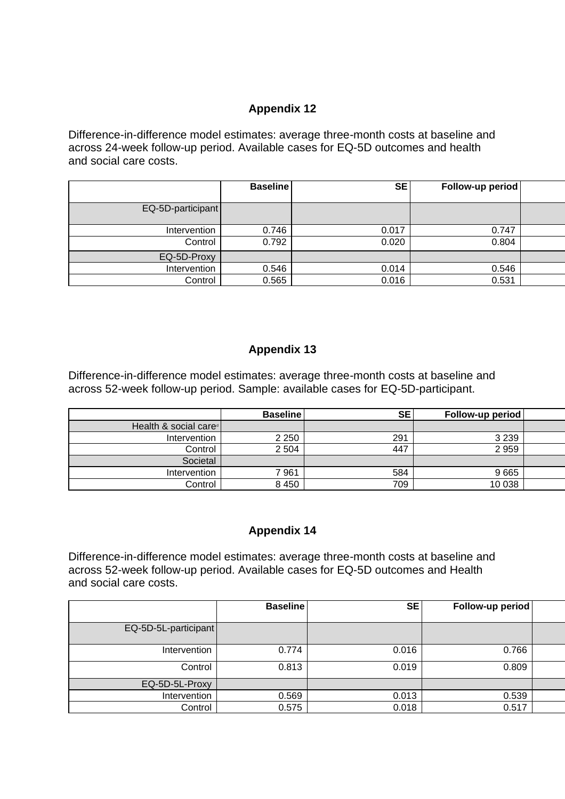# **Appendix 12**

Difference-in-difference model estimates: average three-month costs at baseline and across 24-week follow-up period. Available cases for EQ-5D outcomes and health and social care costs.

|                   | <b>Baseline</b> | <b>SE</b> | Follow-up period |  |
|-------------------|-----------------|-----------|------------------|--|
| EQ-5D-participant |                 |           |                  |  |
| Intervention      | 0.746           | 0.017     | 0.747            |  |
| Control           | 0.792           | 0.020     | 0.804            |  |
| EQ-5D-Proxy       |                 |           |                  |  |
| Intervention      | 0.546           | 0.014     | 0.546            |  |
| Control           | 0.565           | 0.016     | 0.531            |  |

# **Appendix 13**

Difference-in-difference model estimates: average three-month costs at baseline and across 52-week follow-up period. Sample: available cases for EQ-5D-participant.

|                                   | <b>Baseline</b> | <b>SE</b> | Follow-up period |  |
|-----------------------------------|-----------------|-----------|------------------|--|
| Health & social care <sup>®</sup> |                 |           |                  |  |
| Intervention                      | 2 2 5 0         | 291       | 3 2 3 9          |  |
| Control                           | 2 5 0 4         | 447       | 2 9 5 9          |  |
| Societal                          |                 |           |                  |  |
| Intervention                      | 7961            | 584       | 9665             |  |
| Control                           | 8 4 5 0         | 709       | 10 038           |  |

# **Appendix 14**

Difference-in-difference model estimates: average three-month costs at baseline and across 52-week follow-up period. Available cases for EQ-5D outcomes and Health and social care costs.

|                      | <b>Baseline</b> | <b>SE</b> | Follow-up period |  |
|----------------------|-----------------|-----------|------------------|--|
| EQ-5D-5L-participant |                 |           |                  |  |
| Intervention         | 0.774           | 0.016     | 0.766            |  |
| Control              | 0.813           | 0.019     | 0.809            |  |
| EQ-5D-5L-Proxy       |                 |           |                  |  |
| Intervention         | 0.569           | 0.013     | 0.539            |  |
| Control              | 0.575           | 0.018     | 0.517            |  |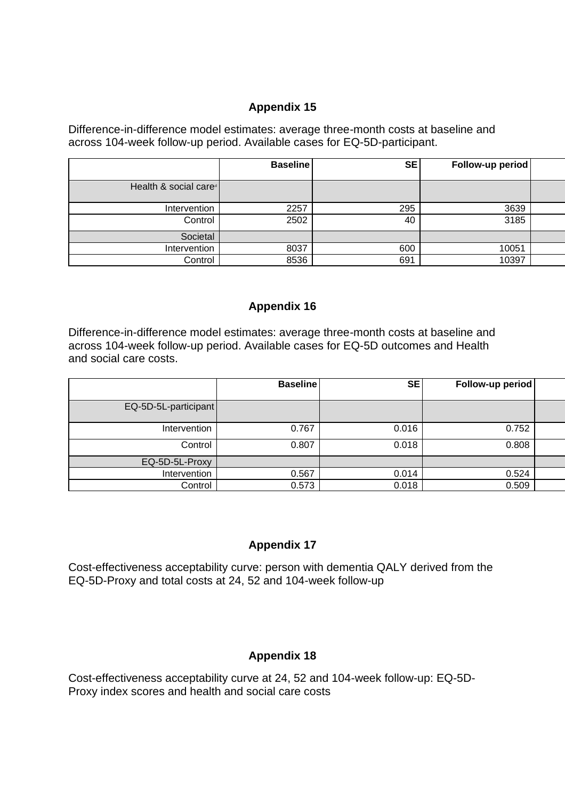# **Appendix 15**

Difference-in-difference model estimates: average three-month costs at baseline and across 104-week follow-up period. Available cases for EQ-5D-participant.

|                                   | <b>Baseline</b> | <b>SE</b> | Follow-up period |  |
|-----------------------------------|-----------------|-----------|------------------|--|
| Health & social care <sup>d</sup> |                 |           |                  |  |
| Intervention                      | 2257            | 295       | 3639             |  |
| Control                           | 2502            | 40        | 3185             |  |
| Societal                          |                 |           |                  |  |
| Intervention                      | 8037            | 600       | 10051            |  |
| Control                           | 8536            | 691       | 10397            |  |

## **Appendix 16**

Difference-in-difference model estimates: average three-month costs at baseline and across 104-week follow-up period. Available cases for EQ-5D outcomes and Health and social care costs.

|                      | <b>Baseline</b> | <b>SE</b> | Follow-up period |  |
|----------------------|-----------------|-----------|------------------|--|
| EQ-5D-5L-participant |                 |           |                  |  |
| Intervention         | 0.767           | 0.016     | 0.752            |  |
| Control              | 0.807           | 0.018     | 0.808            |  |
| EQ-5D-5L-Proxy       |                 |           |                  |  |
| Intervention         | 0.567           | 0.014     | 0.524            |  |
| Control              | 0.573           | 0.018     | 0.509            |  |

# **Appendix 17**

Cost-effectiveness acceptability curve: person with dementia QALY derived from the EQ-5D-Proxy and total costs at 24, 52 and 104-week follow-up

# **Appendix 18**

Cost-effectiveness acceptability curve at 24, 52 and 104-week follow-up: EQ-5D-Proxy index scores and health and social care costs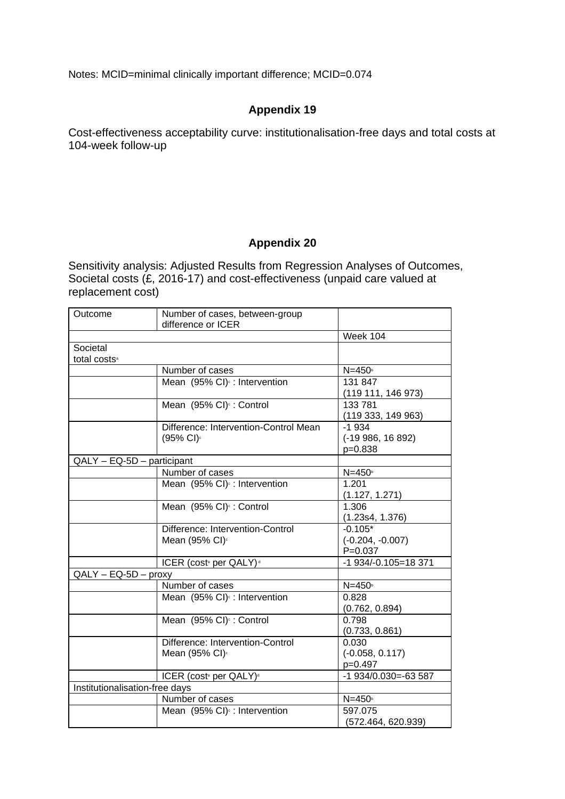Notes: MCID=minimal clinically important difference; MCID=0.074

# **Appendix 19**

Cost-effectiveness acceptability curve: institutionalisation-free days and total costs at 104-week follow-up

## **Appendix 20**

Sensitivity analysis: Adjusted Results from Regression Analyses of Outcomes, Societal costs (£, 2016-17) and cost-effectiveness (unpaid care valued at replacement cost)

| Outcome                              | Number of cases, between-group                                 |                                                |
|--------------------------------------|----------------------------------------------------------------|------------------------------------------------|
|                                      | difference or ICER                                             |                                                |
|                                      |                                                                | <b>Week 104</b>                                |
| Societal<br>total costs <sup>a</sup> |                                                                |                                                |
|                                      | Number of cases                                                | $N=450$                                        |
|                                      | Mean (95% CI) <sup>e</sup> : Intervention                      | 131 847<br>(119 111, 146 973)                  |
|                                      | Mean (95% CI) <sup>c</sup> : Control                           | 133 781<br>(119 333, 149 963)                  |
|                                      | Difference: Intervention-Control Mean<br>(95% CI) <sup>c</sup> | $-1934$<br>(-19 986, 16 892)<br>p=0.838        |
| QALY - EQ-5D - participant           |                                                                |                                                |
|                                      | Number of cases                                                | $N=450$                                        |
|                                      | Mean (95% CI) <sup>e</sup> : Intervention                      | 1.201<br>(1.127, 1.271)                        |
|                                      | Mean (95% CI) <sup>c</sup> : Control                           | 1.306<br>(1.23s4, 1.376)                       |
|                                      | Difference: Intervention-Control<br>Mean (95% CI) <sup>c</sup> | $-0.105*$<br>$(-0.204, -0.007)$<br>$P = 0.037$ |
|                                      | ICER (cost <sup>®</sup> per QALY) <sup>®</sup>                 | -1 934/-0.105=18 371                           |
| $QALY - EQ-5D - proxy$               |                                                                |                                                |
|                                      | Number of cases                                                | $N=450$                                        |
|                                      | Mean (95% CI) <sup>c</sup> : Intervention                      | 0.828<br>(0.762, 0.894)                        |
|                                      | Mean (95% CI) <sup>c</sup> : Control                           | 0.798<br>(0.733, 0.861)                        |
|                                      | Difference: Intervention-Control<br>Mean (95% CI) <sup>c</sup> | 0.030<br>$(-0.058, 0.117)$<br>$p=0.497$        |
|                                      | ICER (cost <sup>a</sup> per QALY) <sup>d</sup>                 | $-1$ 934/0.030 = - 63 587                      |
| Institutionalisation-free days       |                                                                |                                                |
|                                      | Number of cases                                                | $N=450$                                        |
|                                      | Mean (95% CI) <sup>c</sup> : Intervention                      | 597.075<br>(572.464, 620.939)                  |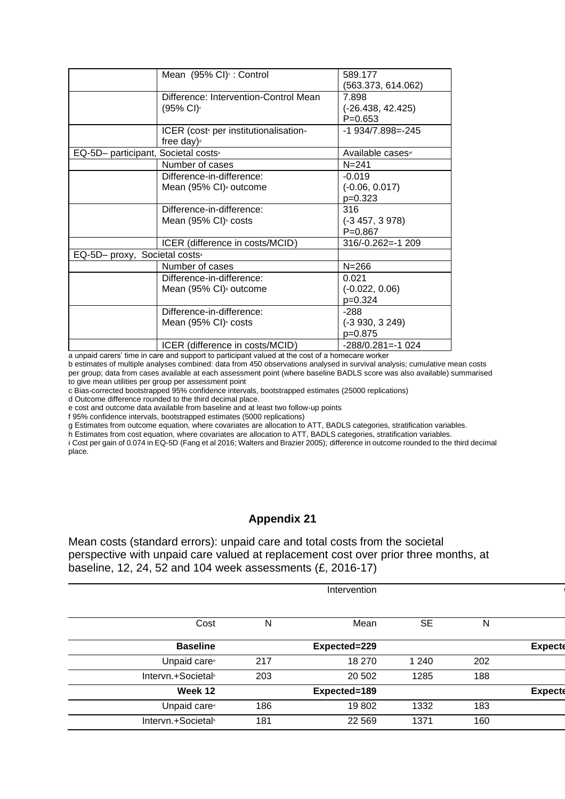| Mean (95% CI) <sup>c</sup> : Control              | 589.177                      |
|---------------------------------------------------|------------------------------|
|                                                   | (563.373, 614.062)           |
| Difference: Intervention-Control Mean             | 7.898                        |
| (95% CI)∘                                         | $(-26.438, 42.425)$          |
|                                                   | $P = 0.653$                  |
| ICER (cost <sup>®</sup> per institutionalisation- | $-1$ 934/7.898 $=$ -245      |
| free day) $d$                                     |                              |
| EQ-5D- participant, Societal costs <sup>®</sup>   | Available cases <sup>®</sup> |
| Number of cases                                   | $N = 241$                    |
| Difference-in-difference:                         | $-0.019$                     |
| Mean (95% CI) <sup>9</sup> outcome                | $(-0.06, 0.017)$             |
|                                                   | $p=0.323$                    |
| Difference-in-difference:                         | 316                          |
| Mean (95% CI) <sup><i>h</i></sup> costs           | $(-3457, 3978)$              |
|                                                   | $P = 0.867$                  |
| ICER (difference in costs/MCID)                   | $316/-0.262 = -1209$         |
| EQ-5D- proxy, Societal costs <sup>®</sup>         |                              |
| Number of cases                                   | $N = 266$                    |
| Difference-in-difference:                         | 0.021                        |
| Mean (95% CI) <sup>9</sup> outcome                | $(-0.022, 0.06)$             |
|                                                   | $p=0.324$                    |
| Difference-in-difference:                         | $-288$                       |
| Mean $(95\% \text{ Cl})^n$ costs                  | $(-3930, 3249)$              |
|                                                   | p=0.875                      |
| ICER (difference in costs/MCID)                   | $-288/0.281 = -1024$         |
|                                                   |                              |

a unpaid carers' time in care and support to participant valued at the cost of a homecare worker

b estimates of multiple analyses combined: data from 450 observations analysed in survival analysis; cumulative mean costs per group; data from cases available at each assessment point (where baseline BADLS score was also available) summarised to give mean utilities per group per assessment point

c Bias-corrected bootstrapped 95% confidence intervals, bootstrapped estimates (25000 replications)

d Outcome difference rounded to the third decimal place.

e cost and outcome data available from baseline and at least two follow-up points

f 95% confidence intervals, bootstrapped estimates (5000 replications)

g Estimates from outcome equation, where covariates are allocation to ATT, BADLS categories, stratification variables.

h Estimates from cost equation, where covariates are allocation to ATT, BADLS categories, stratification variables.

i Cost per gain of 0.074 in EQ-5D (Fang et al 2016; Walters and Brazier 2005); difference in outcome rounded to the third decimal place.

## **Appendix 21**

Mean costs (standard errors): unpaid care and total costs from the societal perspective with unpaid care valued at replacement cost over prior three months, at baseline, 12, 24, 52 and 104 week assessments (£, 2016-17)

| Intervention                   |     |              |           |     |                |
|--------------------------------|-----|--------------|-----------|-----|----------------|
| Cost                           | N   | Mean         | <b>SE</b> | N   |                |
| <b>Baseline</b>                |     | Expected=229 |           |     | <b>Expecte</b> |
| Unpaid care <sup>®</sup>       | 217 | 18 270       | 1 2 4 0   | 202 |                |
| Intervn.+Societal <sup>®</sup> | 203 | 20 502       | 1285      | 188 |                |
| Week 12                        |     | Expected=189 |           |     | <b>Expecte</b> |
| Unpaid care <sup>®</sup>       | 186 | 19802        | 1332      | 183 |                |
| Intervn.+Societal <sup>®</sup> | 181 | 22 5 69      | 1371      | 160 |                |
|                                |     |              |           |     |                |